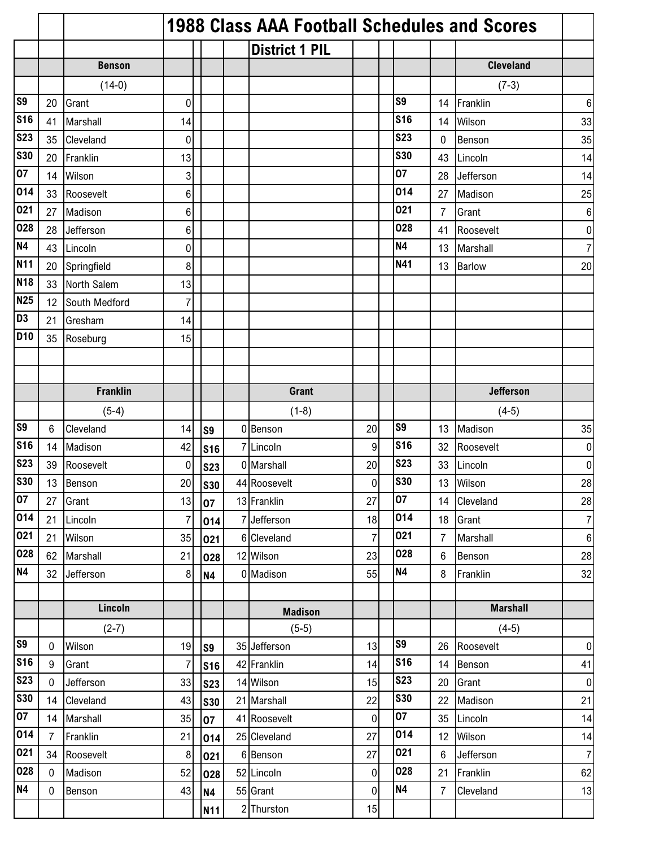|                |                |                 | <b>1988 Class AAA Football Schedules and Scores</b> |            |  |                       |                |  |                |                |                  |                 |  |  |  |
|----------------|----------------|-----------------|-----------------------------------------------------|------------|--|-----------------------|----------------|--|----------------|----------------|------------------|-----------------|--|--|--|
|                |                |                 |                                                     |            |  | <b>District 1 PIL</b> |                |  |                |                |                  |                 |  |  |  |
|                |                | <b>Benson</b>   |                                                     |            |  |                       |                |  |                |                | <b>Cleveland</b> |                 |  |  |  |
|                |                | $(14-0)$        |                                                     |            |  |                       |                |  |                |                | $(7-3)$          |                 |  |  |  |
| S <sub>9</sub> | 20             | Grant           | 0                                                   |            |  |                       |                |  | S <sub>9</sub> | 14             | Franklin         | $\,6$           |  |  |  |
| <b>S16</b>     | 41             | Marshall        | 14                                                  |            |  |                       |                |  | <b>S16</b>     | 14             | Wilson           | 33              |  |  |  |
| <b>S23</b>     | 35             | Cleveland       | 0                                                   |            |  |                       |                |  | <b>S23</b>     | 0              | Benson           | 35              |  |  |  |
| <b>S30</b>     | 20             | Franklin        | 13                                                  |            |  |                       |                |  | <b>S30</b>     | 43             | Lincoln          | 14              |  |  |  |
| 07             | 14             | Wilson          | 3                                                   |            |  |                       |                |  | 07             | 28             | Jefferson        | 14              |  |  |  |
| 014            | 33             | Roosevelt       | 6                                                   |            |  |                       |                |  | 014            | 27             | Madison          | 25              |  |  |  |
| 021            | 27             | Madison         | 6                                                   |            |  |                       |                |  | 021            | 7              | Grant            | $6\phantom{1}6$ |  |  |  |
| 028            | 28             | Jefferson       | 6                                                   |            |  |                       |                |  | 028            | 41             | Roosevelt        | $\pmb{0}$       |  |  |  |
| <b>N4</b>      | 43             | Lincoln         | 0                                                   |            |  |                       |                |  | <b>N4</b>      | 13             | Marshall         | $\overline{7}$  |  |  |  |
| <b>N11</b>     | 20             | Springfield     | 8                                                   |            |  |                       |                |  | N41            | 13             | <b>Barlow</b>    | 20              |  |  |  |
| <b>N18</b>     | 33             | North Salem     | 13                                                  |            |  |                       |                |  |                |                |                  |                 |  |  |  |
| <b>N25</b>     | 12             | South Medford   | 7                                                   |            |  |                       |                |  |                |                |                  |                 |  |  |  |
| D <sub>3</sub> | 21             | Gresham         | 14                                                  |            |  |                       |                |  |                |                |                  |                 |  |  |  |
| <b>D10</b>     | 35             | Roseburg        | 15                                                  |            |  |                       |                |  |                |                |                  |                 |  |  |  |
|                |                |                 |                                                     |            |  |                       |                |  |                |                |                  |                 |  |  |  |
|                |                |                 |                                                     |            |  |                       |                |  |                |                |                  |                 |  |  |  |
|                |                | <b>Franklin</b> |                                                     |            |  | <b>Grant</b>          |                |  |                |                | <b>Jefferson</b> |                 |  |  |  |
|                |                | $(5-4)$         |                                                     |            |  | $(1-8)$               |                |  |                |                | $(4-5)$          |                 |  |  |  |
| S <sub>9</sub> | 6              | Cleveland       | 14                                                  | S9         |  | 0 Benson              | 20             |  | S <sub>9</sub> | 13             | Madison          | 35              |  |  |  |
| <b>S16</b>     | 14             | Madison         | 42                                                  | <b>S16</b> |  | 7 Lincoln             | 9              |  | <b>S16</b>     | 32             | Roosevelt        | 0               |  |  |  |
| <b>S23</b>     | 39             | Roosevelt       | 0                                                   | <b>S23</b> |  | 0 Marshall            | 20             |  | <b>S23</b>     | 33             | Lincoln          | 0               |  |  |  |
| <b>S30</b>     | 13             | Benson          | 20                                                  | <b>S30</b> |  | 44 Roosevelt          | 0              |  | <b>S30</b>     | 13             | Wilson           | 28              |  |  |  |
| 07             | 27             | Grant           | 13                                                  | 07         |  | 13 Franklin           | 27             |  | 07             | 14             | Cleveland        | 28              |  |  |  |
| 014            | 21             | Lincoln         | $\overline{7}$                                      | 014        |  | 7 Jefferson           | 18             |  | 014            | 18             | Grant            | $\overline{7}$  |  |  |  |
| 021            | 21             | Wilson          | 35                                                  | 021        |  | 6 Cleveland           | $\overline{7}$ |  | 021            | $\overline{7}$ | Marshall         | $\bf 6$         |  |  |  |
| 028            | 62             | Marshall        | 21                                                  | 028        |  | 12 Wilson             | 23             |  | 028            | 6              | Benson           | 28              |  |  |  |
| <b>N4</b>      | 32             | Jefferson       | 8                                                   | <b>N4</b>  |  | 0 Madison             | 55             |  | N4             | 8              | Franklin         | 32              |  |  |  |
|                |                |                 |                                                     |            |  |                       |                |  |                |                |                  |                 |  |  |  |
|                |                | Lincoln         |                                                     |            |  | <b>Madison</b>        |                |  |                |                | <b>Marshall</b>  |                 |  |  |  |
|                |                | $(2-7)$         |                                                     |            |  | $(5-5)$               |                |  |                |                | $(4-5)$          |                 |  |  |  |
| S <sub>9</sub> | $\mathbf 0$    | Wilson          | 19                                                  | S9         |  | 35 Jefferson          | 13             |  | S <sub>9</sub> | 26             | Roosevelt        | $\overline{0}$  |  |  |  |
| <b>S16</b>     | 9              | Grant           | $\overline{7}$                                      | <b>S16</b> |  | 42 Franklin           | 14             |  | <b>S16</b>     | 14             | Benson           | 41              |  |  |  |
| <b>S23</b>     | $\mathbf 0$    | Jefferson       | 33                                                  | <b>S23</b> |  | 14 Wilson             | 15             |  | <b>S23</b>     | 20             | Grant            | $\overline{0}$  |  |  |  |
| <b>S30</b>     | 14             | Cleveland       | 43                                                  | <b>S30</b> |  | 21 Marshall           | 22             |  | <b>S30</b>     | 22             | Madison          | 21              |  |  |  |
| 07             | 14             | Marshall        | 35                                                  | 07         |  | 41 Roosevelt          | $\overline{0}$ |  | 07             | 35             | Lincoln          | 14              |  |  |  |
| 014            | $\overline{7}$ | Franklin        | 21                                                  | 014        |  | 25 Cleveland          | 27             |  | 014            | 12             | Wilson           | 14              |  |  |  |
| 021            | 34             | Roosevelt       | 8                                                   | 021        |  | 6 Benson              | 27             |  | 021            | 6              | Jefferson        | $\overline{7}$  |  |  |  |
| 028            | $\mathbf 0$    | Madison         | 52                                                  | 028        |  | 52 Lincoln            | 0              |  | 028            | 21             | Franklin         | 62              |  |  |  |
| N4             | 0              | Benson          | 43                                                  | <b>N4</b>  |  | 55 Grant              | 0              |  | <b>N4</b>      | $\overline{7}$ | Cleveland        | 13              |  |  |  |
|                |                |                 |                                                     | <b>N11</b> |  | 2 Thurston            | 15             |  |                |                |                  |                 |  |  |  |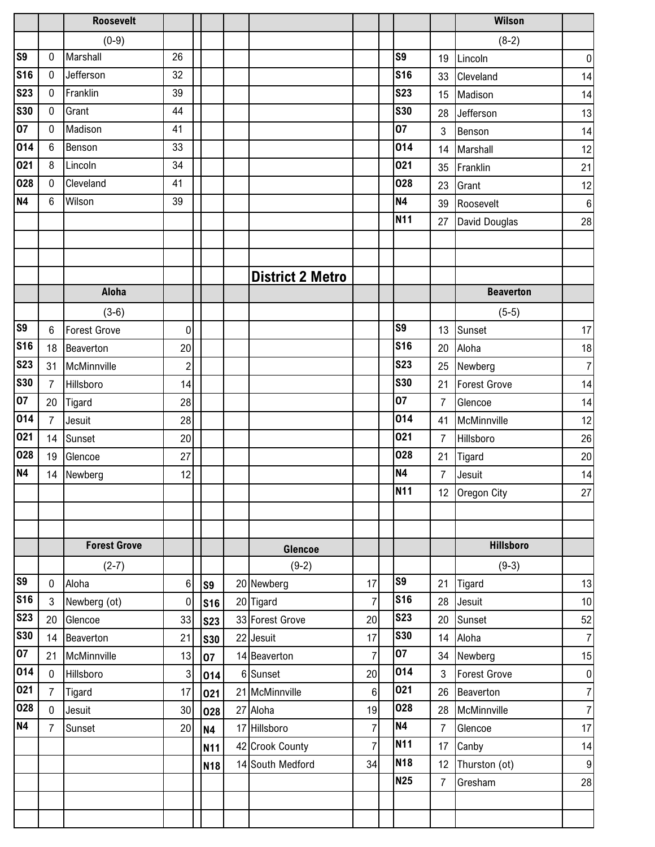|                |                | <b>Roosevelt</b>    |                |                |                         |                  |                |                | Wilson              |                  |
|----------------|----------------|---------------------|----------------|----------------|-------------------------|------------------|----------------|----------------|---------------------|------------------|
|                |                | $(0-9)$             |                |                |                         |                  |                |                | $(8-2)$             |                  |
| <b>S9</b>      | $\mathbf{0}$   | Marshall            | 26             |                |                         |                  | S <sub>9</sub> | 19             | Lincoln             | $\pmb{0}$        |
| <b>S16</b>     | $\mathbf 0$    | Jefferson           | 32             |                |                         |                  | <b>S16</b>     | 33             | Cleveland           | 14               |
| <b>S23</b>     | $\mathbf 0$    | Franklin            | 39             |                |                         |                  | <b>S23</b>     | 15             | Madison             | 14               |
| <b>S30</b>     | $\mathbf 0$    | Grant               | 44             |                |                         |                  | <b>S30</b>     | 28             | Jefferson           | 13               |
| 07             | $\mathbf 0$    | Madison             | 41             |                |                         |                  | 07             | 3              | Benson              | 14               |
| 014            | 6              | Benson              | 33             |                |                         |                  | 014            | 14             | Marshall            | 12               |
| 021            | 8              | Lincoln             | 34             |                |                         |                  | 021            | 35             | Franklin            | 21               |
| 028            | 0              | Cleveland           | 41             |                |                         |                  | 028            | 23             | Grant               | 12               |
| <b>N4</b>      | 6              | Wilson              | 39             |                |                         |                  | <b>N4</b>      | 39             | Roosevelt           | $\,6\,$          |
|                |                |                     |                |                |                         |                  | <b>N11</b>     | 27             | David Douglas       | 28               |
|                |                |                     |                |                |                         |                  |                |                |                     |                  |
|                |                |                     |                |                |                         |                  |                |                |                     |                  |
|                |                |                     |                |                | <b>District 2 Metro</b> |                  |                |                |                     |                  |
|                |                | Aloha               |                |                |                         |                  |                |                | <b>Beaverton</b>    |                  |
|                |                | $(3-6)$             |                |                |                         |                  |                |                | $(5-5)$             |                  |
| <b>S9</b>      | 6              | <b>Forest Grove</b> | 0              |                |                         |                  | S <sub>9</sub> | 13             | Sunset              | 17               |
| <b>S16</b>     | 18             | Beaverton           | 20             |                |                         |                  | <b>S16</b>     | 20             | Aloha               | 18               |
| <b>S23</b>     | 31             | McMinnville         | $\overline{c}$ |                |                         |                  | <b>S23</b>     | 25             | Newberg             | $\overline{7}$   |
| <b>S30</b>     | $\overline{7}$ | Hillsboro           | 14             |                |                         |                  | <b>S30</b>     | 21             | <b>Forest Grove</b> | 14               |
| 07             | 20             | Tigard              | 28             |                |                         |                  | 07             | $\overline{7}$ | Glencoe             | 14               |
| 014            | $\overline{7}$ | Jesuit              | 28             |                |                         |                  | 014            | 41             | McMinnville         | 12               |
| 021            | 14             | Sunset              | 20             |                |                         |                  | 021            | $\overline{7}$ | Hillsboro           | 26               |
| 028            | 19             | Glencoe             | 27             |                |                         |                  | 028            | 21             | Tigard              | 20               |
| <b>N4</b>      | 14             | Newberg             | 12             |                |                         |                  | <b>N4</b>      | $\overline{7}$ | Jesuit              | 14               |
|                |                |                     |                |                |                         |                  | <b>N11</b>     |                | 12 Oregon City      | 27               |
|                |                |                     |                |                |                         |                  |                |                |                     |                  |
|                |                |                     |                |                |                         |                  |                |                |                     |                  |
|                |                | <b>Forest Grove</b> |                |                | Glencoe                 |                  |                |                | <b>Hillsboro</b>    |                  |
|                |                | $(2-7)$             |                |                | $(9-2)$                 |                  |                |                | $(9-3)$             |                  |
| <b>S9</b>      | 0              | Aloha               | 6              | S <sub>9</sub> | 20 Newberg              | 17               | S9             | 21             | Tigard              | 13               |
| <b>S16</b>     | 3              | Newberg (ot)        | 0              | <b>S16</b>     | 20 Tigard               | $\overline{7}$   | <b>S16</b>     | 28             | Jesuit              | $10$             |
| <b>S23</b>     | 20             | Glencoe             | 33             | <b>S23</b>     | 33 Forest Grove         | 20               | <b>S23</b>     | 20             | Sunset              | 52               |
| <b>S30</b>     | 14             | Beaverton           | 21             | <b>S30</b>     | 22 Jesuit               | 17               | <b>S30</b>     | 14             | Aloha               | $\overline{7}$   |
| 07             | 21             | McMinnville         | 13             | 07             | 14 Beaverton            | $\overline{7}$   | 07             | 34             | Newberg             | 15               |
| 014            | $\mathbf 0$    | Hillsboro           | 3              | 014            | 6 Sunset                | 20               | 014            | 3              | <b>Forest Grove</b> | $\pmb{0}$        |
| 021            | $\overline{7}$ | <b>Tigard</b>       | 17             | 021            | 21 McMinnville          | $\boldsymbol{6}$ | 021            | 26             | Beaverton           | $\overline{7}$   |
| 028            | $\mathbf 0$    | Jesuit              | 30             | 028            | 27 Aloha                | 19               | 028            | 28             | McMinnville         | $\boldsymbol{7}$ |
| N <sub>4</sub> | $\overline{7}$ | Sunset              | 20             | <b>N4</b>      | 17 Hillsboro            | $\overline{7}$   | <b>N4</b>      | $\overline{7}$ | Glencoe             | 17               |
|                |                |                     |                | <b>N11</b>     | 42 Crook County         | $\overline{7}$   | <b>N11</b>     | 17             | Canby               | 14               |
|                |                |                     |                | <b>N18</b>     | 14 South Medford        | 34               | <b>N18</b>     | 12             | Thurston (ot)       | $\boldsymbol{9}$ |
|                |                |                     |                |                |                         |                  | <b>N25</b>     | $\overline{7}$ | Gresham             | 28               |
|                |                |                     |                |                |                         |                  |                |                |                     |                  |
|                |                |                     |                |                |                         |                  |                |                |                     |                  |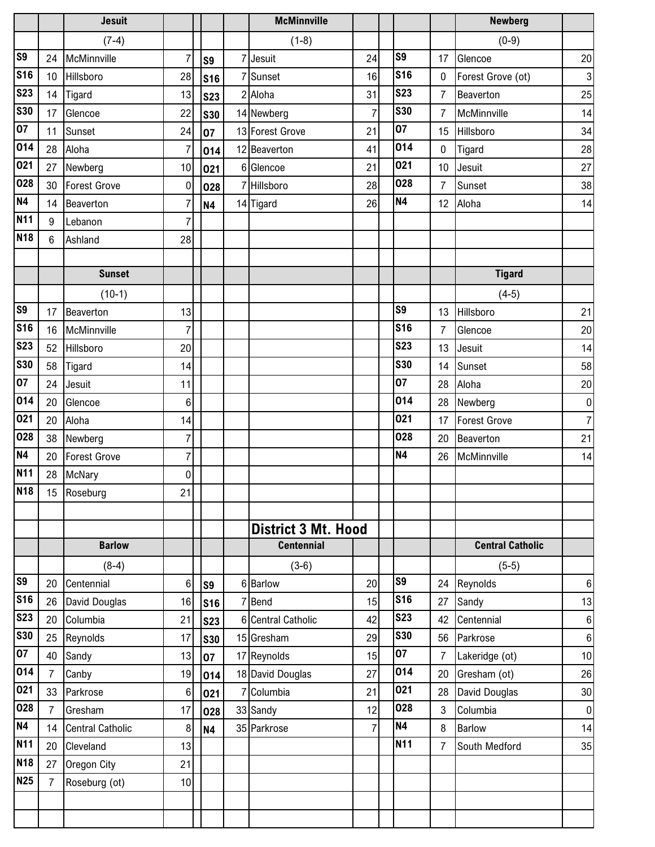|                  |                      | <b>Jesuit</b>           |                |                | <b>McMinnville</b>         |                |                  |                | <b>Newberg</b>          |                 |
|------------------|----------------------|-------------------------|----------------|----------------|----------------------------|----------------|------------------|----------------|-------------------------|-----------------|
|                  |                      | $(7-4)$                 |                |                | $(1-8)$                    |                |                  |                | $(0-9)$                 |                 |
| S <sub>9</sub>   | 24                   | McMinnville             | 7              | S <sub>9</sub> | 7 Jesuit                   | 24             | S9               | 17             | Glencoe                 | 20              |
| <b>S16</b>       | 10 <sup>1</sup>      | Hillsboro               | 28             | <b>S16</b>     | 7 Sunset                   | 16             | <b>S16</b>       | 0              | Forest Grove (ot)       | 3               |
| <b>S23</b>       | 14                   | Tigard                  | 13             | <b>S23</b>     | 2 Aloha                    | 31             | <b>S23</b>       | $\overline{7}$ | Beaverton               | 25              |
| <b>S30</b>       | 17                   | Glencoe                 | 22             | <b>S30</b>     | 14 Newberg                 | $\overline{7}$ | <b>S30</b>       | 7              | McMinnville             | 14              |
| 07               | 11                   | Sunset                  | 24             | 07             | 13 Forest Grove            | 21             | 07               | 15             | Hillsboro               | 34              |
| 014              | 28                   | Aloha                   | $\overline{7}$ | 014            | 12 Beaverton               | 41             | 014              | $\mathbf 0$    | Tigard                  | 28              |
| 021              | 27                   | Newberg                 | 10             | 021            | 6 Glencoe                  | 21             | 021              | 10             | Jesuit                  | 27              |
| 028              | 30                   | <b>Forest Grove</b>     | $\mathbf 0$    | 028            | 7 Hillsboro                | 28             | 028              | $\overline{7}$ | Sunset                  | 38              |
| <b>N4</b>        | 14                   | Beaverton               | $\overline{7}$ | <b>N4</b>      | 14 Tigard                  | 26             | <b>N4</b>        | 12             | Aloha                   | 14              |
| <b>N11</b>       | 9                    | Lebanon                 | $\overline{7}$ |                |                            |                |                  |                |                         |                 |
| <b>N18</b>       | 6                    | Ashland                 | 28             |                |                            |                |                  |                |                         |                 |
|                  |                      |                         |                |                |                            |                |                  |                |                         |                 |
|                  |                      | <b>Sunset</b>           |                |                |                            |                |                  |                | <b>Tigard</b>           |                 |
|                  |                      | $(10-1)$                |                |                |                            |                |                  |                | $(4-5)$                 |                 |
| S <sub>9</sub>   | 17                   | Beaverton               | 13             |                |                            |                | S9               | 13             | Hillsboro               | 21              |
| <b>S16</b>       | 16                   | McMinnville             | 7              |                |                            |                | <b>S16</b>       | $\overline{7}$ | Glencoe                 | 20              |
| <b>S23</b>       | 52                   | Hillsboro               | 20             |                |                            |                | <b>S23</b>       | 13             | Jesuit                  | 14              |
| <b>S30</b>       | 58                   | Tigard                  | 14             |                |                            |                | <b>S30</b>       | 14             | Sunset                  | 58              |
| 07               | 24                   | Jesuit                  | 11             |                |                            |                | 07               | 28             | Aloha                   | 20              |
| 014              | 20                   | Glencoe                 | 6              |                |                            |                | 014              | 28             | Newberg                 | 0               |
| 021              | 20                   | Aloha                   | 14             |                |                            |                | 021              | 17             | Forest Grove            | 7 <sup>1</sup>  |
| 028              | 38                   | Newberg                 | 7              |                |                            |                | 028              | 20             | Beaverton               | 21              |
| <b>N4</b>        | 20                   | <b>Forest Grove</b>     | $\overline{7}$ |                |                            |                | <b>N4</b>        | 26             | McMinnville             | 14              |
| <b>N11</b>       | 28                   | McNary                  | 0              |                |                            |                |                  |                |                         |                 |
| <b>N18</b>       |                      | 15 Roseburg             | 21             |                |                            |                |                  |                |                         |                 |
|                  |                      |                         |                |                |                            |                |                  |                |                         |                 |
|                  |                      |                         |                |                | <b>District 3 Mt. Hood</b> |                |                  |                |                         |                 |
|                  |                      | <b>Barlow</b>           |                |                | <b>Centennial</b>          |                |                  |                | <b>Central Catholic</b> |                 |
|                  |                      | $(8-4)$                 |                |                | $(3-6)$                    |                |                  |                | $(5-5)$                 |                 |
| S <sub>9</sub>   | 20                   | Centennial              | 6              | <b>S9</b>      | 6 Barlow                   | 20             | S <sub>9</sub>   | 24             | Reynolds                | 6               |
| <b>S16</b>       | 26                   | David Douglas           | 16             | <b>S16</b>     | 7 Bend                     | 15             | <b>S16</b>       | 27             | Sandy                   | 13              |
| <b>S23</b>       | 20                   | Columbia                | 21             | <b>S23</b>     | 6 Central Catholic         | 42             | <b>S23</b>       | 42             | Centennial              | 6               |
| <b>S30</b>       | 25                   | Reynolds                | 17             | <b>S30</b>     | 15 Gresham                 | 29             | <b>S30</b><br>07 | 56             | Parkrose                | 6               |
| 07               | 40                   | Sandy                   | 13             | 07             | 17 Reynolds                | 15             | 014              | $\overline{7}$ | Lakeridge (ot)          | 10 <sub>1</sub> |
| 014<br>021       | $\overline{7}$       | Canby                   | 19             | 014            | 18 David Douglas           | 27             | 021              | 20             | Gresham (ot)            | 26              |
|                  | 33                   | Parkrose                | 6              | 021            | 7 Columbia                 | 21             |                  | 28             | David Douglas           | 30              |
| 028<br><b>N4</b> | $\overline{7}$       | Gresham                 | 17             | 028            | 33 Sandy                   | 12             | 028<br><b>N4</b> | 3              | Columbia                | 0               |
| <b>N11</b>       | 14                   | <b>Central Catholic</b> | 8              | <b>N4</b>      | 35 Parkrose                | $\overline{7}$ | <b>N11</b>       | 8              | <b>Barlow</b>           | 14              |
| <b>N18</b>       | 20                   | Cleveland               | 13             |                |                            |                |                  | $\overline{7}$ | South Medford           | 35              |
| <b>N25</b>       | 27<br>$\overline{7}$ | Oregon City             | 21             |                |                            |                |                  |                |                         |                 |
|                  |                      | Roseburg (ot)           | 10             |                |                            |                |                  |                |                         |                 |
|                  |                      |                         |                |                |                            |                |                  |                |                         |                 |
|                  |                      |                         |                |                |                            |                |                  |                |                         |                 |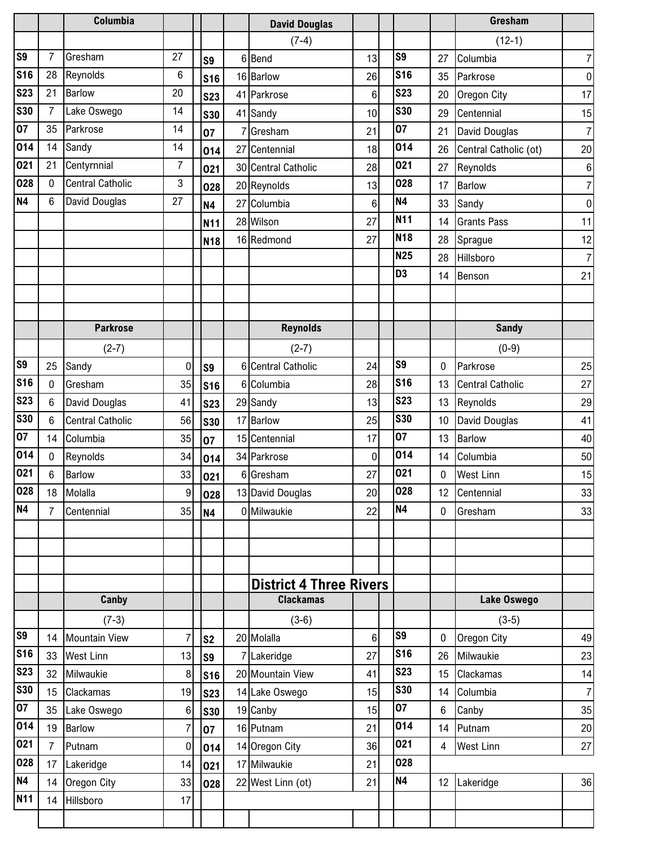|            |                | Columbia                |                 |                 |    | <b>David Douglas</b>           |        |                |    | Gresham                 |                 |
|------------|----------------|-------------------------|-----------------|-----------------|----|--------------------------------|--------|----------------|----|-------------------------|-----------------|
|            |                |                         |                 |                 |    | $(7-4)$                        |        |                |    | $(12-1)$                |                 |
| S9         | $\overline{7}$ | Gresham                 | 27              | S <sub>9</sub>  |    | 6 Bend                         | 13     | S <sub>9</sub> | 27 | Columbia                | 7 <sup>1</sup>  |
| <b>S16</b> | 28             | Reynolds                | 6               | <b>S16</b>      |    | 16 Barlow                      | 26     | <b>S16</b>     | 35 | Parkrose                | 0               |
| <b>S23</b> | 21             | <b>Barlow</b>           | 20              | <b>S23</b>      |    | 41 Parkrose                    | 6      | <b>S23</b>     | 20 | Oregon City             | 17 <sub>l</sub> |
| <b>S30</b> | 7              | Lake Oswego             | 14              | <b>S30</b>      |    | 41 Sandy                       | 10     | <b>S30</b>     | 29 | Centennial              | 15              |
| 07         | 35             | Parkrose                | 14              | 07              |    | Gresham                        | 21     | 07             | 21 | David Douglas           | 7 <sup>1</sup>  |
| 014        | 14             | Sandy                   | 14              | 014             | 27 | Centennial                     | 18     | 014            | 26 | Central Catholic (ot)   | 20              |
| 021        | 21             | Centyrnnial             | $\overline{7}$  | 021             |    | 30 Central Catholic            | 28     | 021            | 27 | Reynolds                | 6               |
| 028        | 0              | <b>Central Catholic</b> | 3               | 028             |    | 20 Reynolds                    | 13     | 028            | 17 | <b>Barlow</b>           | 7 <sup>1</sup>  |
| <b>N4</b>  | 6              | David Douglas           | 27              | <b>N4</b>       |    | 27 Columbia                    | 6      | <b>N4</b>      | 33 | Sandy                   | $\overline{0}$  |
|            |                |                         |                 | N <sub>11</sub> |    | 28 Wilson                      | 27     | <b>N11</b>     | 14 | <b>Grants Pass</b>      | 11              |
|            |                |                         |                 | N <sub>18</sub> |    | 16 Redmond                     | 27     | <b>N18</b>     | 28 | Sprague                 | 12              |
|            |                |                         |                 |                 |    |                                |        | <b>N25</b>     | 28 | Hillsboro               | 7               |
|            |                |                         |                 |                 |    |                                |        | D <sub>3</sub> | 14 | Benson                  | 21              |
|            |                |                         |                 |                 |    |                                |        |                |    |                         |                 |
|            |                |                         |                 |                 |    |                                |        |                |    |                         |                 |
|            |                | <b>Parkrose</b>         |                 |                 |    | <b>Reynolds</b>                |        |                |    | <b>Sandy</b>            |                 |
|            |                | $(2-7)$                 |                 |                 |    | $(2-7)$                        |        |                |    | $(0-9)$                 |                 |
| S9         | 25             | Sandy                   | $\mathbf 0$     | S <sub>9</sub>  |    | 6 Central Catholic             | 24     | S <sub>9</sub> | 0  | Parkrose                | 25              |
| <b>S16</b> | 0              | Gresham                 | 35              | <b>S16</b>      |    | 6 Columbia                     | 28     | <b>S16</b>     | 13 | <b>Central Catholic</b> | 27              |
| <b>S23</b> | 6              | David Douglas           | 41              | <b>S23</b>      |    | 29 Sandy                       | 13     | <b>S23</b>     | 13 | Reynolds                | 29              |
| <b>S30</b> | 6              | <b>Central Catholic</b> | 56              | <b>S30</b>      |    | 17 Barlow                      | 25     | <b>S30</b>     | 10 | David Douglas           | 41              |
| 07         | 14             | Columbia                | 35              | 07              |    | 15 Centennial                  | 17     | 07             | 13 | Barlow                  | 40              |
| 014        | $\Omega$       | Reynolds                | 34              | 014             |    | 34 Parkrose                    | 0      | 014            | 14 | Columbia                | 50              |
| 021        | 6              | <b>Barlow</b>           | 33              | 021             |    | 6 Gresham                      | 27     | 021            | 0  | <b>West Linn</b>        | 15              |
| 028        | 18             | Molalla                 | 9               | 028             |    | 13 David Douglas               | $20\,$ | 028            | 12 | Centennial              | 33              |
| <b>N4</b>  | $\overline{7}$ | Centennial              | 35              | <b>N4</b>       |    | 0 Milwaukie                    | 22     | <b>N4</b>      | 0  | Gresham                 | 33              |
|            |                |                         |                 |                 |    |                                |        |                |    |                         |                 |
|            |                |                         |                 |                 |    |                                |        |                |    |                         |                 |
|            |                |                         |                 |                 |    |                                |        |                |    |                         |                 |
|            |                |                         |                 |                 |    | <b>District 4 Three Rivers</b> |        |                |    |                         |                 |
|            |                | Canby                   |                 |                 |    | <b>Clackamas</b>               |        |                |    | Lake Oswego             |                 |
|            |                | $(7-3)$                 |                 |                 |    | $(3-6)$                        |        |                |    | $(3-5)$                 |                 |
| S9         | 14             | Mountain View           | $\overline{7}$  | S <sub>2</sub>  |    | 20 Molalla                     | 6      | S <sub>9</sub> | 0  | Oregon City             | 49              |
| <b>S16</b> | 33             | <b>West Linn</b>        | 13              | S9              |    | 7 Lakeridge                    | 27     | <b>S16</b>     | 26 | Milwaukie               | 23              |
| <b>S23</b> | 32             | Milwaukie               | 8               | <b>S16</b>      |    | 20 Mountain View               | 41     | <b>S23</b>     | 15 | Clackamas               | 14              |
| <b>S30</b> | 15             | Clackamas               | 19              | <b>S23</b>      |    | 14 Lake Oswego                 | 15     | <b>S30</b>     | 14 | Columbia                | 7               |
| 07<br>014  | 35             | Lake Oswego             | $6\phantom{1}6$ | <b>S30</b>      |    | 19 Canby                       | 15     | 07<br>014      | 6  | Canby                   | 35              |
|            | 19             | <b>Barlow</b>           | $\overline{7}$  | 07              |    | 16 Putnam                      | 21     | 021            | 14 | Putnam                  | 20              |
| 021        |                | Putnam                  | 0               | 014             |    | 14 Oregon City                 | 36     |                | 4  | <b>West Linn</b>        | 27              |
| 028        | 17             | Lakeridge               | 14              | 021             |    | 17 Milwaukie                   | 21     | 028            |    |                         |                 |
| <b>N4</b>  | 14             | Oregon City             | 33              | 028             |    | 22 West Linn (ot)              | 21     | <b>N4</b>      | 12 | Lakeridge               | 36              |
| N11        | 14             | Hillsboro               | 17              |                 |    |                                |        |                |    |                         |                 |
|            |                |                         |                 |                 |    |                                |        |                |    |                         |                 |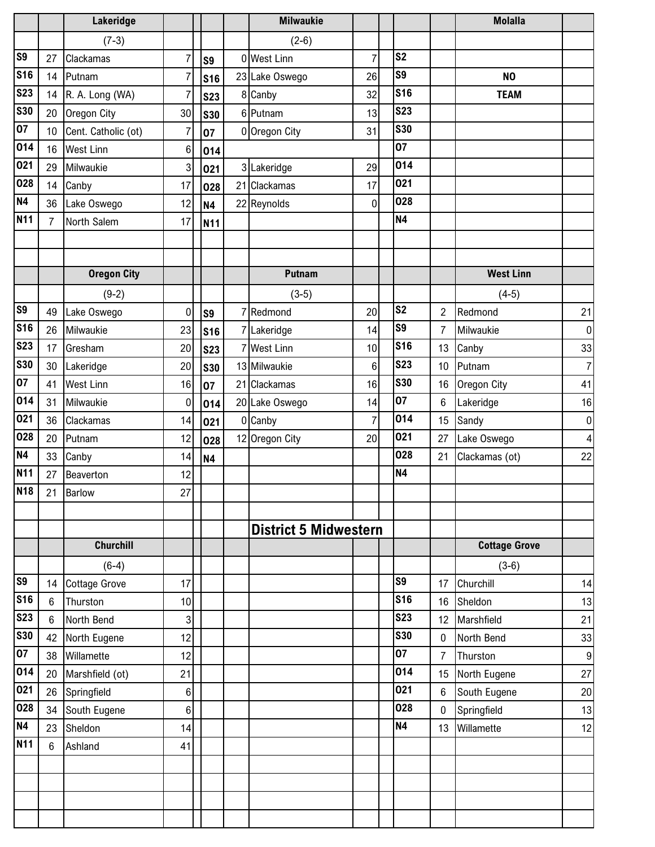|                |                 | Lakeridge            |                |                | <b>Milwaukie</b>             |                |                |                | <b>Molalla</b>       |                |
|----------------|-----------------|----------------------|----------------|----------------|------------------------------|----------------|----------------|----------------|----------------------|----------------|
|                |                 | $(7-3)$              |                |                | $(2-6)$                      |                |                |                |                      |                |
| S <sub>9</sub> | 27              | Clackamas            | $\overline{7}$ | S <sub>9</sub> | 0 West Linn                  | $\overline{7}$ | S <sub>2</sub> |                |                      |                |
| <b>S16</b>     | 14              | Putnam               | 7              | <b>S16</b>     | 23 Lake Oswego               | 26             | S9             |                | N <sub>O</sub>       |                |
| <b>S23</b>     | 14              | R. A. Long (WA)      | $\overline{7}$ | <b>S23</b>     | 8 Canby                      | 32             | <b>S16</b>     |                | <b>TEAM</b>          |                |
| <b>S30</b>     | 20              | Oregon City          | 30             | <b>S30</b>     | 6 Putnam                     | 13             | <b>S23</b>     |                |                      |                |
| 07             | 10 <sup>1</sup> | Cent. Catholic (ot)  | 7              | 07             | 0 Oregon City                | 31             | <b>S30</b>     |                |                      |                |
| 014            | 16              | <b>West Linn</b>     | 6              | 014            |                              |                | 07             |                |                      |                |
| 021            | 29              | Milwaukie            | 3              | 021            | 3 Lakeridge                  | 29             | 014            |                |                      |                |
| 028            | 14              | Canby                | 17             | 028            | 21 Clackamas                 | 17             | 021            |                |                      |                |
| <b>N4</b>      | 36              | Lake Oswego          | 12             | <b>N4</b>      | 22 Reynolds                  | $\mathbf 0$    | 028            |                |                      |                |
| N11            | $\overline{7}$  | North Salem          | 17             | N11            |                              |                | <b>N4</b>      |                |                      |                |
|                |                 |                      |                |                |                              |                |                |                |                      |                |
|                |                 |                      |                |                |                              |                |                |                |                      |                |
|                |                 | <b>Oregon City</b>   |                |                | Putnam                       |                |                |                | <b>West Linn</b>     |                |
|                |                 | $(9-2)$              |                |                | $(3-5)$                      |                |                |                | $(4-5)$              |                |
| S9             | 49              | Lake Oswego          | $\mathbf 0$    | S <sub>9</sub> | 7 Redmond                    | 20             | S <sub>2</sub> | $\overline{2}$ | Redmond              | 21             |
| <b>S16</b>     | 26              | Milwaukie            | 23             | <b>S16</b>     | 7 Lakeridge                  | 14             | S9             | 7              | Milwaukie            | 0              |
| <b>S23</b>     | 17              | Gresham              | 20             | <b>S23</b>     | <b>West Linn</b>             | 10             | <b>S16</b>     | 13             | Canby                | 33             |
| <b>S30</b>     | 30              | Lakeridge            | 20             | <b>S30</b>     | 13 Milwaukie                 | 6              | <b>S23</b>     | 10             | Putnam               | 7 <sup>1</sup> |
| 07             | 41              | <b>West Linn</b>     | 16             | 07             | 21 Clackamas                 | 16             | <b>S30</b>     | 16             | Oregon City          | 41             |
| 014            | 31              | Milwaukie            | $\mathbf 0$    | 014            | 20 Lake Oswego               | 14             | 07             | 6              | Lakeridge            | 16             |
| 021            | 36              | Clackamas            | 14             | 021            | 0 Canby                      | $\overline{7}$ | 014            | 15             | Sandy                | 0              |
| 028            | 20              | Putnam               | 12             | 028            | 12 Oregon City               | 20             | 021            | 27             | Lake Oswego          | 4              |
| <b>N4</b>      | 33              | Canby                | 14             | <b>N4</b>      |                              |                | 028            | 21             | Clackamas (ot)       | 22             |
| <b>N11</b>     | 27              | Beaverton            | 12             |                |                              |                | <b>N4</b>      |                |                      |                |
| <b>N18</b>     | 21              | <b>Barlow</b>        | 27             |                |                              |                |                |                |                      |                |
|                |                 |                      |                |                |                              |                |                |                |                      |                |
|                |                 |                      |                |                | <b>District 5 Midwestern</b> |                |                |                |                      |                |
|                |                 | <b>Churchill</b>     |                |                |                              |                |                |                | <b>Cottage Grove</b> |                |
|                |                 | $(6-4)$              |                |                |                              |                |                |                | $(3-6)$              |                |
| S <sub>9</sub> | 14              | <b>Cottage Grove</b> | 17             |                |                              |                | S9             | 17             | Churchill            | 14             |
| <b>S16</b>     | $6\phantom{a}$  | Thurston             | 10             |                |                              |                | <b>S16</b>     | 16             | Sheldon              | 13             |
| <b>S23</b>     | 6               | North Bend           | 3              |                |                              |                | <b>S23</b>     | 12             | Marshfield           | 21             |
| <b>S30</b>     | 42              | North Eugene         | 12             |                |                              |                | <b>S30</b>     | 0              | North Bend           | 33             |
| 07             | 38              | Willamette           | 12             |                |                              |                | 07             | $\overline{7}$ | Thurston             | 9              |
| 014            | 20              | Marshfield (ot)      | 21             |                |                              |                | 014            | 15             | North Eugene         | 27             |
| 021            | 26              | Springfield          | 6              |                |                              |                | 021            | 6              | South Eugene         | 20             |
| 028            | 34              | South Eugene         | 6              |                |                              |                | 028            | $\mathbf 0$    | Springfield          | 13             |
| <b>N4</b>      | 23              | Sheldon              | 14             |                |                              |                | <b>N4</b>      | 13             | Willamette           | 12             |
| <b>N11</b>     | $6\phantom{.0}$ | Ashland              | 41             |                |                              |                |                |                |                      |                |
|                |                 |                      |                |                |                              |                |                |                |                      |                |
|                |                 |                      |                |                |                              |                |                |                |                      |                |
|                |                 |                      |                |                |                              |                |                |                |                      |                |
|                |                 |                      |                |                |                              |                |                |                |                      |                |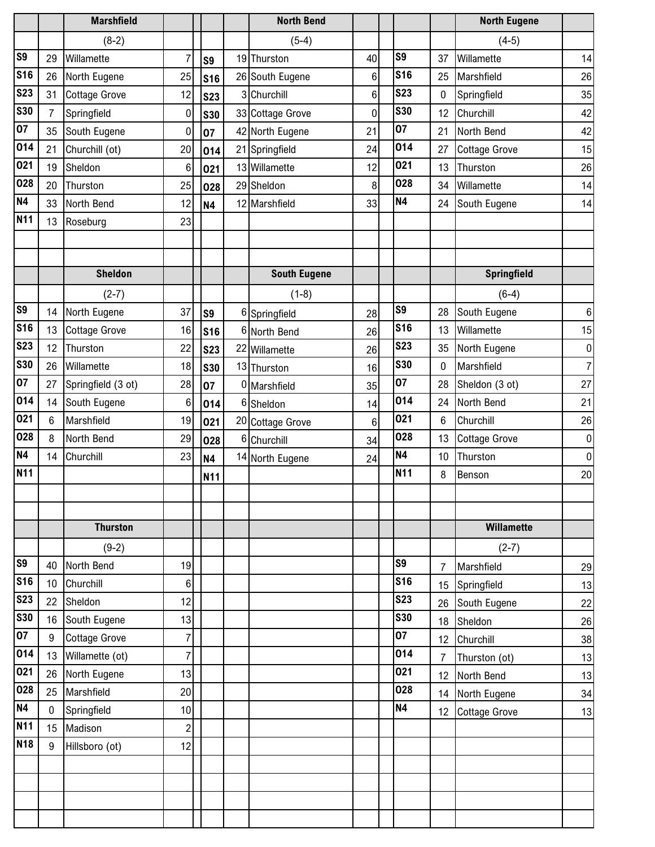|                          |                | <b>Marshfield</b>    |                 |                | <b>North Bend</b>   |                |                          |                | <b>North Eugene</b>  |                |
|--------------------------|----------------|----------------------|-----------------|----------------|---------------------|----------------|--------------------------|----------------|----------------------|----------------|
|                          |                | $(8-2)$              |                 |                | $(5-4)$             |                |                          |                | $(4-5)$              |                |
| S <sub>9</sub>           | 29             | Willamette           | 7               | S <sub>9</sub> | 19 Thurston         | 40             | S9                       | 37             | Willamette           | 14             |
| <b>S16</b>               | 26             | North Eugene         | 25              | <b>S16</b>     | 26 South Eugene     | $6\phantom{.}$ | <b>S16</b>               | 25             | Marshfield           | 26             |
| <b>S23</b>               | 31             | <b>Cottage Grove</b> | 12              | <b>S23</b>     | 3 Churchill         | $6\phantom{.}$ | <b>S23</b>               | 0              | Springfield          | 35             |
| <b>S30</b>               | $\overline{7}$ | Springfield          | $\mathbf 0$     | <b>S30</b>     | 33 Cottage Grove    | 0              | <b>S30</b>               | 12             | Churchill            | 42             |
| 07                       | 35             | South Eugene         | $\mathbf 0$     | 07             | 42 North Eugene     | 21             | 07                       | 21             | North Bend           | 42             |
| 014                      | 21             | Churchill (ot)       | 20              | 014            | 21 Springfield      | 24             | 014                      | 27             | <b>Cottage Grove</b> | 15             |
| 021                      | 19             | Sheldon              | $6\phantom{1}6$ | 021            | 13 Willamette       | 12             | 021                      | 13             | Thurston             | 26             |
| 028                      | 20             | Thurston             | 25              | 028            | 29 Sheldon          | 8              | 028                      | 34             | Willamette           | 14             |
| <b>N4</b>                | 33             | North Bend           | 12              | <b>N4</b>      | 12 Marshfield       | 33             | <b>N4</b>                | 24             | South Eugene         | 14             |
| N11                      | 13             | Roseburg             | 23              |                |                     |                |                          |                |                      |                |
|                          |                |                      |                 |                |                     |                |                          |                |                      |                |
|                          |                |                      |                 |                |                     |                |                          |                |                      |                |
|                          |                | <b>Sheldon</b>       |                 |                | <b>South Eugene</b> |                |                          |                | <b>Springfield</b>   |                |
|                          |                | $(2-7)$              |                 |                | $(1-8)$             |                |                          |                | $(6-4)$              |                |
| S9                       | 14             | North Eugene         | 37              | S <sub>9</sub> | 6 Springfield       | 28             | S9                       | 28             | South Eugene         | 6 <sup>1</sup> |
| <b>S16</b>               | 13             | <b>Cottage Grove</b> | 16              | <b>S16</b>     | 6 North Bend        | 26             | <b>S16</b>               | 13             | Willamette           | 15             |
| <b>S23</b>               | 12             | Thurston             | 22              | <b>S23</b>     | 22 Willamette       | 26             | <b>S23</b>               | 35             | North Eugene         | $\overline{0}$ |
| <b>S30</b>               | 26             | Willamette           | 18              | <b>S30</b>     | 13 Thurston         | 16             | <b>S30</b>               | 0              | Marshfield           | 7 <sup>1</sup> |
| 07                       | 27             | Springfield (3 ot)   | 28              | 07             | 0 Marshfield        | 35             | 07                       | 28             | Sheldon (3 ot)       | 27             |
| 014                      | 14             | South Eugene         | $6\phantom{a}$  | 014            | 6 Sheldon           | 14             | 014                      | 24             | North Bend           | 21             |
| 021                      | 6              | Marshfield           | 19              | 021            | 20 Cottage Grove    | 6              | 021                      | 6              | Churchill            | 26             |
| 028                      | 8              | North Bend           | 29              | 028            | 6 Churchill         | 34             | 028                      | 13             | <b>Cottage Grove</b> | $\overline{0}$ |
| <b>N4</b>                | 14             | Churchill            | 23              | <b>N4</b>      | 14 North Eugene     | 24             | <b>N4</b>                | 10             | Thurston             | $\overline{0}$ |
| <b>N11</b>               |                |                      |                 | N11            |                     |                | <b>N11</b>               | 8              | Benson               | 20             |
|                          |                |                      |                 |                |                     |                |                          |                |                      |                |
|                          |                |                      |                 |                |                     |                |                          |                |                      |                |
|                          |                | <b>Thurston</b>      |                 |                |                     |                |                          |                | Willamette           |                |
|                          |                | $(9-2)$              |                 |                |                     |                |                          |                | $(2-7)$              |                |
| S <sub>9</sub>           | 40             | North Bend           | 19              |                |                     |                | S9                       | $\overline{7}$ | Marshfield           | 29             |
| <b>S16</b>               | 10             | Churchill            | 6               |                |                     |                | <b>S16</b>               | 15             | Springfield          | 13             |
| <b>S23</b><br><b>S30</b> | 22             | Sheldon              | 12              |                |                     |                | <b>S23</b><br><b>S30</b> | 26             | South Eugene         | 22             |
|                          | 16             | South Eugene         | 13              |                |                     |                |                          | 18             | Sheldon              | 26             |
| 07                       | 9              | <b>Cottage Grove</b> | $\overline{7}$  |                |                     |                | 07<br>014                | 12             | Churchill            | 38             |
| 014                      | 13             | Willamette (ot)      | $\overline{7}$  |                |                     |                | 021                      | $\overline{7}$ | Thurston (ot)        | 13             |
| 021<br>028               | 26             | North Eugene         | 13              |                |                     |                | 028                      | 12             | North Bend           | 13             |
|                          | 25             | Marshfield           | 20              |                |                     |                | <b>N4</b>                | 14             | North Eugene         | 34             |
| N4<br><b>N11</b>         | $\mathbf 0$    | Springfield          | 10              |                |                     |                |                          | 12             | <b>Cottage Grove</b> | 13             |
| N18                      | 15             | Madison              | $\overline{c}$  |                |                     |                |                          |                |                      |                |
|                          | 9              | Hillsboro (ot)       | 12              |                |                     |                |                          |                |                      |                |
|                          |                |                      |                 |                |                     |                |                          |                |                      |                |
|                          |                |                      |                 |                |                     |                |                          |                |                      |                |
|                          |                |                      |                 |                |                     |                |                          |                |                      |                |
|                          |                |                      |                 |                |                     |                |                          |                |                      |                |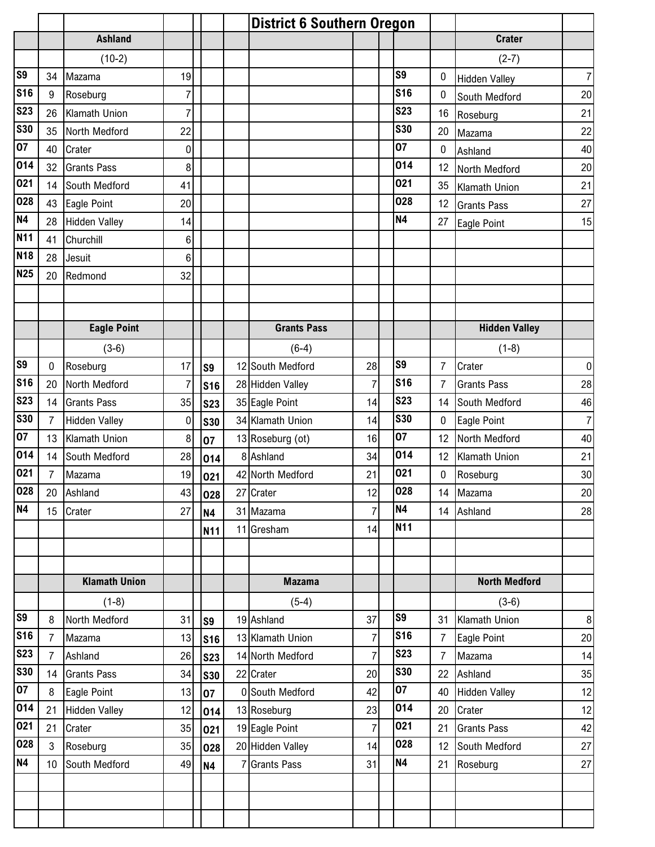|            |                |                      |                |                | <b>District 6 Southern Oregon</b> |                |                |                |                      |                  |
|------------|----------------|----------------------|----------------|----------------|-----------------------------------|----------------|----------------|----------------|----------------------|------------------|
|            |                | <b>Ashland</b>       |                |                |                                   |                |                |                | <b>Crater</b>        |                  |
|            |                | $(10-2)$             |                |                |                                   |                |                |                | $(2-7)$              |                  |
| S9         | 34             | Mazama               | 19             |                |                                   |                | S <sub>9</sub> | 0              | <b>Hidden Valley</b> | 7 <sup>1</sup>   |
| <b>S16</b> | 9              | Roseburg             | $\overline{7}$ |                |                                   |                | <b>S16</b>     | 0              | South Medford        | 20               |
| <b>S23</b> | 26             | Klamath Union        | $\overline{7}$ |                |                                   |                | <b>S23</b>     | 16             | Roseburg             | 21               |
| <b>S30</b> | 35             | North Medford        | 22             |                |                                   |                | <b>S30</b>     | 20             | Mazama               | 22               |
| 07         | 40             | Crater               | 0              |                |                                   |                | 07             | 0              | Ashland              | 40               |
| 014        | 32             | <b>Grants Pass</b>   | 8              |                |                                   |                | 014            | 12             | North Medford        | 20               |
| 021        | 14             | South Medford        | 41             |                |                                   |                | 021            | 35             | <b>Klamath Union</b> | 21               |
| 028        | 43             | Eagle Point          | 20             |                |                                   |                | 028            | 12             | <b>Grants Pass</b>   | 27               |
| <b>N4</b>  | 28             | <b>Hidden Valley</b> | 14             |                |                                   |                | <b>N4</b>      | 27             | Eagle Point          | 15               |
| N11        | 41             | Churchill            | 6              |                |                                   |                |                |                |                      |                  |
| <b>N18</b> | 28             | Jesuit               | 6              |                |                                   |                |                |                |                      |                  |
| N25        | 20             | Redmond              | 32             |                |                                   |                |                |                |                      |                  |
|            |                |                      |                |                |                                   |                |                |                |                      |                  |
|            |                |                      |                |                |                                   |                |                |                |                      |                  |
|            |                | <b>Eagle Point</b>   |                |                | <b>Grants Pass</b>                |                |                |                | <b>Hidden Valley</b> |                  |
|            |                | $(3-6)$              |                |                | $(6-4)$                           |                |                |                | $(1-8)$              |                  |
| S9         | 0              | Roseburg             | 17             | S <sub>9</sub> | 12 South Medford                  | 28             | S <sub>9</sub> | $\overline{7}$ | Crater               | $\overline{0}$   |
| <b>S16</b> | 20             | North Medford        | $\overline{7}$ | <b>S16</b>     | 28 Hidden Valley                  | 7              | <b>S16</b>     | $\overline{7}$ | <b>Grants Pass</b>   | 28               |
| <b>S23</b> | 14             | <b>Grants Pass</b>   | 35             | <b>S23</b>     | 35 Eagle Point                    | 14             | <b>S23</b>     | 14             | South Medford        | 46               |
| <b>S30</b> | $\overline{7}$ | <b>Hidden Valley</b> | $\mathbf 0$    | <b>S30</b>     | 34 Klamath Union                  | 14             | <b>S30</b>     | 0              | Eagle Point          | 7 <sup>1</sup>   |
| 07         | 13             | Klamath Union        | 8              | 07             | 13 Roseburg (ot)                  | 16             | 07             | 12             | North Medford        | 40               |
| 014        | 14             | South Medford        | 28             | 014            | 8 Ashland                         | 34             | 014            | 12             | Klamath Union        | 21               |
| 021        | $\overline{7}$ | Mazama               | 19             | 021            | 42 North Medford                  | 21             | 021            | 0              | Roseburg             | 30               |
| 028        | 20             | Ashland              | 43             | 028            | 27 Crater                         | 12             | 028            | 14             | Mazama               | $20\overline{)}$ |
| <b>N4</b>  | 15             | Crater               | 27             | <b>N4</b>      | 31 Mazama                         | $\overline{7}$ | <b>N4</b>      | 14             | Ashland              | 28               |
|            |                |                      |                | N11            | 11 Gresham                        | 14             | <b>N11</b>     |                |                      |                  |
|            |                |                      |                |                |                                   |                |                |                |                      |                  |
|            |                |                      |                |                |                                   |                |                |                |                      |                  |
|            |                | <b>Klamath Union</b> |                |                | <b>Mazama</b>                     |                |                |                | <b>North Medford</b> |                  |
|            |                | $(1-8)$              |                |                | $(5-4)$                           |                |                |                | $(3-6)$              |                  |
| S9         | 8              | North Medford        | 31             | S9             | 19 Ashland                        | 37             | S <sub>9</sub> | 31             | Klamath Union        | 8                |
| <b>S16</b> | 7              | Mazama               | 13             | <b>S16</b>     | 13 Klamath Union                  | 7              | <b>S16</b>     | 7              | Eagle Point          | 20               |
| <b>S23</b> | 7              | Ashland              | 26             | <b>S23</b>     | 14 North Medford                  | $\overline{7}$ | <b>S23</b>     | 7              | Mazama               | 14               |
| <b>S30</b> | 14             | <b>Grants Pass</b>   | 34             | <b>S30</b>     | 22 Crater                         | 20             | <b>S30</b>     | 22             | Ashland              | 35               |
| 07         | 8              | Eagle Point          | 13             | 07             | 0 South Medford                   | 42             | 07             | 40             | <b>Hidden Valley</b> | 12               |
| 014        | 21             | <b>Hidden Valley</b> | 12             | 014            | 13 Roseburg                       | 23             | 014            | 20             | Crater               | 12               |
| 021        | 21             | Crater               | 35             | 021            | 19 Eagle Point                    | 7              | 021            | 21             | <b>Grants Pass</b>   | 42               |
| 028        | 3              | Roseburg             | 35             | 028            | 20 Hidden Valley                  | 14             | 028            | 12             | South Medford        | 27               |
| <b>N4</b>  | 10             | South Medford        | 49             | <b>N4</b>      | <b>Grants Pass</b>                | 31             | <b>N4</b>      | 21             | Roseburg             | 27               |
|            |                |                      |                |                |                                   |                |                |                |                      |                  |
|            |                |                      |                |                |                                   |                |                |                |                      |                  |
|            |                |                      |                |                |                                   |                |                |                |                      |                  |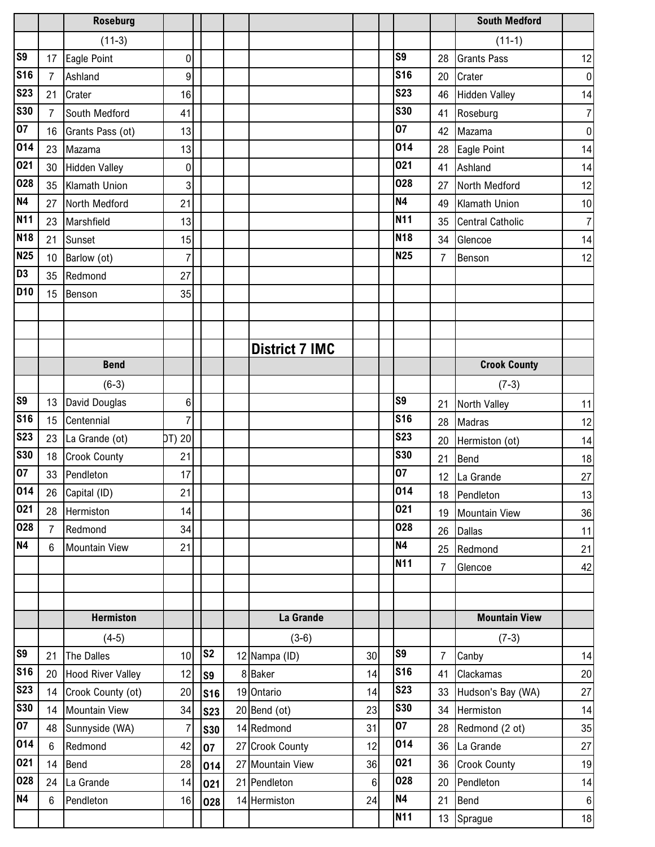|                |                | <b>Roseburg</b>          |                |                |                       |                |                |                | <b>South Medford</b>    |                  |
|----------------|----------------|--------------------------|----------------|----------------|-----------------------|----------------|----------------|----------------|-------------------------|------------------|
|                |                | $(11-3)$                 |                |                |                       |                |                |                | $(11-1)$                |                  |
| S <sub>9</sub> | 17             | Eagle Point              | 0              |                |                       |                | S <sub>9</sub> | 28             | <b>Grants Pass</b>      | 12               |
| <b>S16</b>     | $\overline{7}$ | Ashland                  | 9              |                |                       |                | <b>S16</b>     | 20             | Crater                  | $\boldsymbol{0}$ |
| <b>S23</b>     | 21             | Crater                   | 16             |                |                       |                | <b>S23</b>     | 46             | <b>Hidden Valley</b>    | 14               |
| <b>S30</b>     | $\overline{7}$ | South Medford            | 41             |                |                       |                | <b>S30</b>     | 41             | Roseburg                | 7                |
| 07             | 16             | Grants Pass (ot)         | 13             |                |                       |                | 07             | 42             | Mazama                  | $\mathbf 0$      |
| 014            | 23             | Mazama                   | 13             |                |                       |                | 014            | 28             | Eagle Point             | 14               |
| 021            | 30             | <b>Hidden Valley</b>     | 0              |                |                       |                | 021            | 41             | Ashland                 | 14               |
| 028            | 35             | Klamath Union            | 3              |                |                       |                | 028            | 27             | North Medford           | 12               |
| <b>N4</b>      | 27             | North Medford            | 21             |                |                       |                | <b>N4</b>      | 49             | <b>Klamath Union</b>    | 10               |
| <b>N11</b>     | 23             | Marshfield               | 13             |                |                       |                | <b>N11</b>     | 35             | <b>Central Catholic</b> | $\overline{7}$   |
| <b>N18</b>     | 21             | Sunset                   | 15             |                |                       |                | <b>N18</b>     | 34             | Glencoe                 | 14               |
| <b>N25</b>     | 10             | Barlow (ot)              | $\overline{7}$ |                |                       |                | <b>N25</b>     | $\overline{7}$ | Benson                  | 12               |
| D <sub>3</sub> | 35             | Redmond                  | 27             |                |                       |                |                |                |                         |                  |
| <b>D10</b>     | 15             | Benson                   | 35             |                |                       |                |                |                |                         |                  |
|                |                |                          |                |                |                       |                |                |                |                         |                  |
|                |                |                          |                |                |                       |                |                |                |                         |                  |
|                |                |                          |                |                | <b>District 7 IMC</b> |                |                |                |                         |                  |
|                |                | <b>Bend</b>              |                |                |                       |                |                |                | <b>Crook County</b>     |                  |
|                |                | $(6-3)$                  |                |                |                       |                |                |                | $(7-3)$                 |                  |
| S <sub>9</sub> | 13             | David Douglas            | 6              |                |                       |                | S <sub>9</sub> | 21             | North Valley            | 11               |
| <b>S16</b>     | 15             | Centennial               | $\overline{7}$ |                |                       |                | <b>S16</b>     | 28             | <b>Madras</b>           | 12               |
| <b>S23</b>     | 23             | La Grande (ot)           | DT) 20         |                |                       |                | <b>S23</b>     | 20             | Hermiston (ot)          | 14               |
| <b>S30</b>     | 18             | <b>Crook County</b>      | 21             |                |                       |                | <b>S30</b>     | 21             | <b>Bend</b>             | 18               |
| 07             | 33             | Pendleton                | 17             |                |                       |                | 07             | 12             | La Grande               | $27\,$           |
| 014            |                | 26 Capital (ID)          | 21             |                |                       |                | 014            |                | 18 Pendleton            | 13               |
| 021            | 28             | Hermiston                | 14             |                |                       |                | 021            | 19             | <b>Mountain View</b>    | 36               |
| 028            | $\overline{7}$ | Redmond                  | 34             |                |                       |                | 028            | 26             | <b>Dallas</b>           | 11               |
| N4             | $6\phantom{.}$ | <b>Mountain View</b>     | 21             |                |                       |                | N4             | 25             | Redmond                 | 21               |
|                |                |                          |                |                |                       |                | <b>N11</b>     | $\overline{7}$ | Glencoe                 | 42               |
|                |                |                          |                |                |                       |                |                |                |                         |                  |
|                |                |                          |                |                |                       |                |                |                |                         |                  |
|                |                | <b>Hermiston</b>         |                |                | La Grande             |                |                |                | <b>Mountain View</b>    |                  |
|                |                | $(4-5)$                  |                |                | $(3-6)$               |                |                |                | $(7-3)$                 |                  |
| <b>S9</b>      | 21             | The Dalles               | 10             | S <sub>2</sub> | 12 Nampa (ID)         | 30             | S <sub>9</sub> | $\overline{7}$ | Canby                   | 14               |
| <b>S16</b>     | 20             | <b>Hood River Valley</b> | 12             | S9             | 8 Baker               | 14             | <b>S16</b>     | 41             | Clackamas               | 20               |
| <b>S23</b>     | 14             | Crook County (ot)        | 20             | <b>S16</b>     | 19 Ontario            | 14             | <b>S23</b>     | 33             | Hudson's Bay (WA)       | $27\,$           |
| <b>S30</b>     | 14             | <b>Mountain View</b>     | 34             | <b>S23</b>     | 20 Bend (ot)          | 23             | <b>S30</b>     | 34             | Hermiston               | 14               |
| 07             | 48             | Sunnyside (WA)           | $\overline{7}$ | <b>S30</b>     | 14 Redmond            | 31             | 07             | 28             | Redmond (2 ot)          | 35               |
| 014            | $6\phantom{.}$ | Redmond                  | 42             | 07             | 27 Crook County       | 12             | 014            | 36             | La Grande               | 27               |
| 021            | 14             | Bend                     | 28             | 014            | 27 Mountain View      | 36             | 021            | 36             | <b>Crook County</b>     | 19               |
| 028            | 24             | La Grande                | 14             | 021            | 21 Pendleton          | $6\phantom{.}$ | 028            | 20             | Pendleton               | 14               |
| N <sub>4</sub> | 6              | Pendleton                | 16             | 028            | 14 Hermiston          | 24             | N4             | 21             | Bend                    | $6 \mid$         |
|                |                |                          |                |                |                       |                | <b>N11</b>     | 13             | Sprague                 | 18               |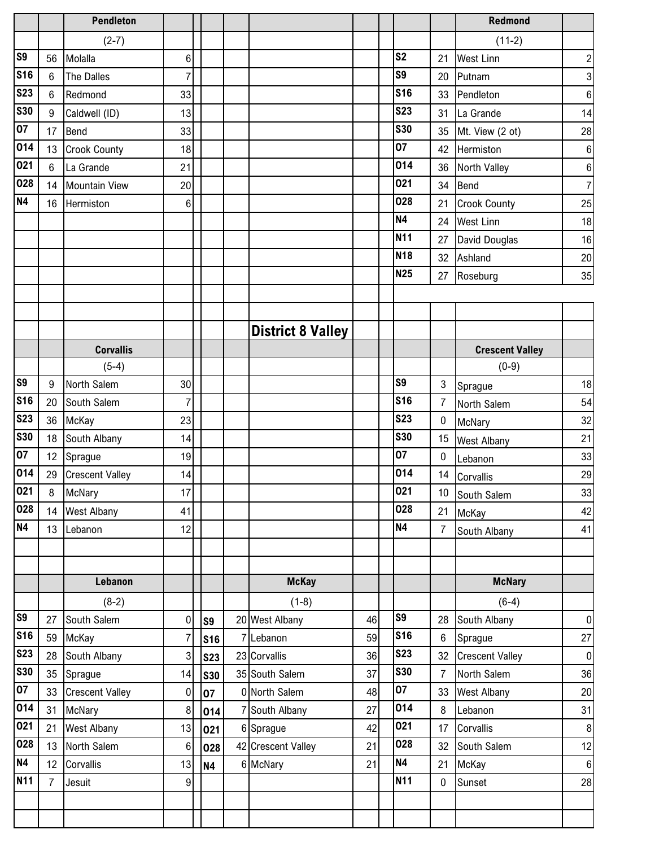|                |                | <b>Pendleton</b>       |                  |            |                          |    |                 |                 | <b>Redmond</b>         |                  |
|----------------|----------------|------------------------|------------------|------------|--------------------------|----|-----------------|-----------------|------------------------|------------------|
|                |                | $(2-7)$                |                  |            |                          |    |                 |                 | $(11-2)$               |                  |
| S <sub>9</sub> | 56             | Molalla                | 6                |            |                          |    | S <sub>2</sub>  | 21              | <b>West Linn</b>       | $\boldsymbol{2}$ |
| <b>S16</b>     | $6\phantom{.}$ | The Dalles             | $\overline{7}$   |            |                          |    | S9              | 20              | Putnam                 | 3                |
| <b>S23</b>     | 6              | Redmond                | 33               |            |                          |    | <b>S16</b>      | 33              | Pendleton              | 6                |
| <b>S30</b>     | 9              | Caldwell (ID)          | 13               |            |                          |    | <b>S23</b>      | 31              | La Grande              | 14               |
| 07             | 17             | <b>Bend</b>            | 33               |            |                          |    | <b>S30</b>      | 35              | Mt. View (2 ot)        | 28               |
| 014            | 13             | <b>Crook County</b>    | 18               |            |                          |    | 07              | 42              | Hermiston              | 6                |
| 021            | $6\phantom{a}$ | La Grande              | 21               |            |                          |    | 014             | 36              | North Valley           | 6                |
| 028            | 14             | Mountain View          | 20               |            |                          |    | 021             | 34              | Bend                   | $\overline{7}$   |
| <b>N4</b>      | 16             | Hermiston              | 6                |            |                          |    | 028             | 21              | <b>Crook County</b>    | 25               |
|                |                |                        |                  |            |                          |    | <b>N4</b>       | 24              | <b>West Linn</b>       | 18               |
|                |                |                        |                  |            |                          |    | N <sub>11</sub> | 27              | David Douglas          | 16               |
|                |                |                        |                  |            |                          |    | <b>N18</b>      | 32              | Ashland                | $20\,$           |
|                |                |                        |                  |            |                          |    | <b>N25</b>      | 27              | Roseburg               | 35               |
|                |                |                        |                  |            |                          |    |                 |                 |                        |                  |
|                |                |                        |                  |            |                          |    |                 |                 |                        |                  |
|                |                |                        |                  |            | <b>District 8 Valley</b> |    |                 |                 |                        |                  |
|                |                | <b>Corvallis</b>       |                  |            |                          |    |                 |                 | <b>Crescent Valley</b> |                  |
|                |                | $(5-4)$                |                  |            |                          |    |                 |                 | $(0-9)$                |                  |
| S <sub>9</sub> | 9              | North Salem            | 30               |            |                          |    | S9              | 3               | Sprague                | 18               |
| <b>S16</b>     | 20             | South Salem            | $\overline{7}$   |            |                          |    | <b>S16</b>      | 7               | North Salem            | 54               |
| <b>S23</b>     | 36             | McKay                  | 23               |            |                          |    | <b>S23</b>      | 0               | McNary                 | 32               |
| <b>S30</b>     | 18             | South Albany           | 14               |            |                          |    | <b>S30</b>      | 15              | <b>West Albany</b>     | 21               |
| 07             | 12             | Sprague                | 19               |            |                          |    | 07              | $\pmb{0}$       | Lebanon                | 33               |
| 014            |                | 29 Crescent Valley     | 14               |            |                          |    | 014             | 14              | Corvallis              | 29               |
| 021            | 8              | McNary                 | 17               |            |                          |    | 021             | 10 <sup>1</sup> | South Salem            | 33               |
| 028            | 14             | <b>West Albany</b>     | 41               |            |                          |    | 028             | 21              | McKay                  | 42               |
| <b>N4</b>      | 13             | Lebanon                | 12               |            |                          |    | <b>N4</b>       | $\overline{7}$  | South Albany           | 41               |
|                |                |                        |                  |            |                          |    |                 |                 |                        |                  |
|                |                |                        |                  |            |                          |    |                 |                 |                        |                  |
|                |                | Lebanon                |                  |            | <b>McKay</b>             |    |                 |                 | <b>McNary</b>          |                  |
|                |                | $(8-2)$                |                  |            | $(1-8)$                  |    |                 |                 | $(6-4)$                |                  |
| S <sub>9</sub> | 27             | South Salem            | 0                | S9         | 20 West Albany           | 46 | S <sub>9</sub>  | 28              | South Albany           | $\pmb{0}$        |
| <b>S16</b>     | 59             | McKay                  | $\overline{7}$   | <b>S16</b> | 7 Lebanon                | 59 | <b>S16</b>      | 6               | Sprague                | $27\,$           |
| <b>S23</b>     | 28             | South Albany           | 3                | <b>S23</b> | 23 Corvallis             | 36 | <b>S23</b>      | 32              | <b>Crescent Valley</b> | $\overline{0}$   |
| <b>S30</b>     | 35             | Sprague                | 14               | <b>S30</b> | 35 South Salem           | 37 | <b>S30</b>      | $\overline{7}$  | North Salem            | 36               |
| 07             | 33             | <b>Crescent Valley</b> | $\pmb{0}$        | 07         | 0 North Salem            | 48 | 07              | 33              | <b>West Albany</b>     | $20\,$           |
| 014            | 31             | <b>McNary</b>          | 8                | 014        | 7 South Albany           | 27 | 014             | 8               | Lebanon                | 31               |
| 021            | 21             | <b>West Albany</b>     | 13               | 021        | 6 Sprague                | 42 | 021             | 17              | Corvallis              | $\, 8$           |
| 028            | 13             | North Salem            | $6\phantom{1}6$  | 028        | 42 Crescent Valley       | 21 | 028             | 32              | South Salem            | 12               |
| N4             | 12             | Corvallis              | 13               | <b>N4</b>  | 6 McNary                 | 21 | <b>N4</b>       | 21              | McKay                  | $6 \overline{6}$ |
| <b>N11</b>     | $\overline{7}$ | Jesuit                 | $\boldsymbol{9}$ |            |                          |    | <b>N11</b>      | $\mathbf 0$     | Sunset                 | 28               |
|                |                |                        |                  |            |                          |    |                 |                 |                        |                  |
|                |                |                        |                  |            |                          |    |                 |                 |                        |                  |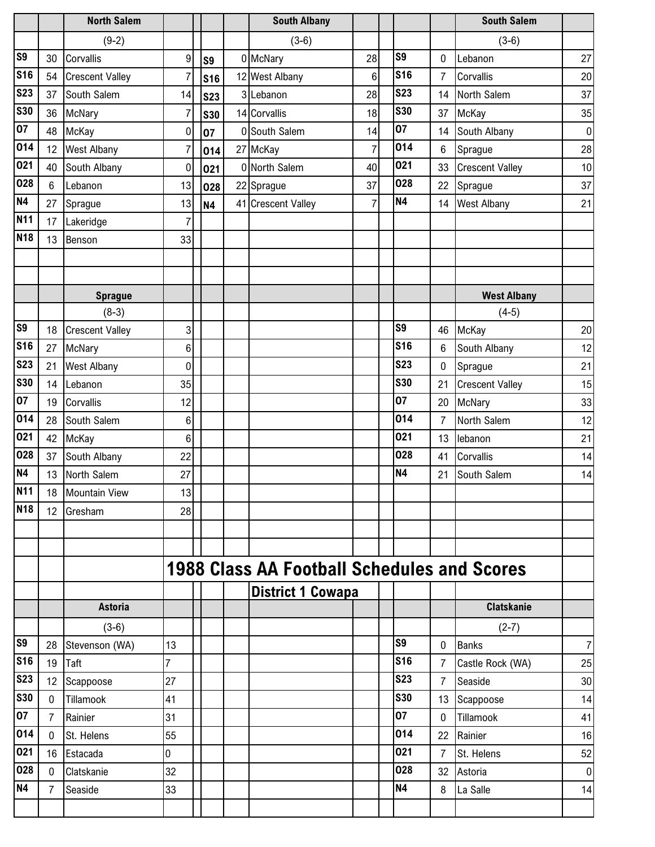|                 |                | <b>North Salem</b>     |                |                | <b>South Albany</b>                                |                |                |                | <b>South Salem</b>     |                  |
|-----------------|----------------|------------------------|----------------|----------------|----------------------------------------------------|----------------|----------------|----------------|------------------------|------------------|
|                 |                | $(9-2)$                |                |                | $(3-6)$                                            |                |                |                | $(3-6)$                |                  |
| S9              | 30             | Corvallis              | 9              | S <sub>9</sub> | 0 McNary                                           | 28             | S <sub>9</sub> | 0              | Lebanon                | 27               |
| <b>S16</b>      | 54             | <b>Crescent Valley</b> | $\overline{7}$ | <b>S16</b>     | 12 West Albany                                     | 6              | <b>S16</b>     | $\overline{7}$ | Corvallis              | 20               |
| <b>S23</b>      | 37             | South Salem            | 14             | <b>S23</b>     | 3 Lebanon                                          | 28             | <b>S23</b>     | 14             | North Salem            | 37               |
| <b>S30</b>      | 36             | McNary                 | $\overline{7}$ | <b>S30</b>     | 14 Corvallis                                       | 18             | <b>S30</b>     | 37             | McKay                  | 35               |
| 07              | 48             | McKay                  | $\mathbf 0$    | 07             | 0 South Salem                                      | 14             | 07             | 14             | South Albany           | $\boldsymbol{0}$ |
| 014             | 12             | <b>West Albany</b>     | $\overline{7}$ | 014            | 27 McKay                                           | $\overline{7}$ | 014            | 6              | Sprague                | 28               |
| 021             | 40             | South Albany           | $\mathbf 0$    | 021            | 0 North Salem                                      | 40             | 021            | 33             | <b>Crescent Valley</b> | 10               |
| 028             | 6              | Lebanon                | 13             | 028            | 22 Sprague                                         | 37             | 028            | 22             | Sprague                | 37               |
| <b>N4</b>       | 27             | Sprague                | 13             | <b>N4</b>      | 41 Crescent Valley                                 | $\overline{7}$ | <b>N4</b>      | 14             | <b>West Albany</b>     | 21               |
| <b>N11</b>      | 17             | Lakeridge              | 7              |                |                                                    |                |                |                |                        |                  |
| N <sub>18</sub> | 13             | Benson                 | 33             |                |                                                    |                |                |                |                        |                  |
|                 |                |                        |                |                |                                                    |                |                |                |                        |                  |
|                 |                |                        |                |                |                                                    |                |                |                |                        |                  |
|                 |                | <b>Sprague</b>         |                |                |                                                    |                |                |                | <b>West Albany</b>     |                  |
|                 |                | $(8-3)$                |                |                |                                                    |                |                |                | $(4-5)$                |                  |
| S <sub>9</sub>  | 18             | <b>Crescent Valley</b> | 3              |                |                                                    |                | S <sub>9</sub> | 46             | McKay                  | 20               |
| <b>S16</b>      | 27             | McNary                 | 6              |                |                                                    |                | <b>S16</b>     | 6              | South Albany           | 12               |
| <b>S23</b>      | 21             | <b>West Albany</b>     | 0              |                |                                                    |                | <b>S23</b>     | 0              | Sprague                | 21               |
| <b>S30</b>      | 14             | Lebanon                | 35             |                |                                                    |                | <b>S30</b>     | 21             | <b>Crescent Valley</b> | 15               |
| 07              | 19             | Corvallis              | 12             |                |                                                    |                | 07             | 20             | McNary                 | 33               |
| 014             | 28             | South Salem            | 6              |                |                                                    |                | 014            | $\overline{7}$ | North Salem            | 12               |
| 021             | 42             | McKay                  | 6              |                |                                                    |                | 021            | 13             | lebanon                | 21               |
| 028             | 37             | South Albany           | 22             |                |                                                    |                | 028            | 41             | Corvallis              | 14               |
| <b>N4</b>       | 13             | North Salem            | 27             |                |                                                    |                | <b>N4</b>      | 21             | South Salem            | 14               |
| <b>N11</b>      | 18             | Mountain View          | 13             |                |                                                    |                |                |                |                        |                  |
| <b>N18</b>      | 12             | Gresham                | 28             |                |                                                    |                |                |                |                        |                  |
|                 |                |                        |                |                |                                                    |                |                |                |                        |                  |
|                 |                |                        |                |                |                                                    |                |                |                |                        |                  |
|                 |                |                        |                |                | <b>1988 Class AA Football Schedules and Scores</b> |                |                |                |                        |                  |
|                 |                |                        |                |                | <b>District 1 Cowapa</b>                           |                |                |                |                        |                  |
|                 |                | <b>Astoria</b>         |                |                |                                                    |                |                |                | <b>Clatskanie</b>      |                  |
|                 |                | $(3-6)$                |                |                |                                                    |                |                |                | $(2-7)$                |                  |
| S9              | 28             | Stevenson (WA)         | 13             |                |                                                    |                | S <sub>9</sub> | $\mathbf 0$    | <b>Banks</b>           | $\overline{7}$   |
| <b>S16</b>      | 19             | Taft                   | 7              |                |                                                    |                | <b>S16</b>     | $\overline{7}$ | Castle Rock (WA)       | 25               |
| <b>S23</b>      | 12             | Scappoose              | 27             |                |                                                    |                | <b>S23</b>     | $\overline{7}$ | Seaside                | 30               |
| <b>S30</b>      | $\mathbf 0$    | Tillamook              | 41             |                |                                                    |                | <b>S30</b>     | 13             | Scappoose              | 14               |
| 07              | $\overline{7}$ | Rainier                | 31             |                |                                                    |                | 07             | $\mathbf 0$    | Tillamook              | 41               |
| 014             | $\mathbf 0$    | St. Helens             | 55             |                |                                                    |                | 014            | 22             | Rainier                | 16               |
| 021             | 16             | Estacada               | 0              |                |                                                    |                | 021            | $\overline{7}$ | St. Helens             | 52               |
| 028             | $\mathbf 0$    | Clatskanie             | 32             |                |                                                    |                | 028            | 32             | Astoria                | 0                |
| <b>N4</b>       | $\overline{7}$ | Seaside                | 33             |                |                                                    |                | <b>N4</b>      | 8              | La Salle               | 14               |
|                 |                |                        |                |                |                                                    |                |                |                |                        |                  |
|                 |                |                        |                |                |                                                    |                |                |                |                        |                  |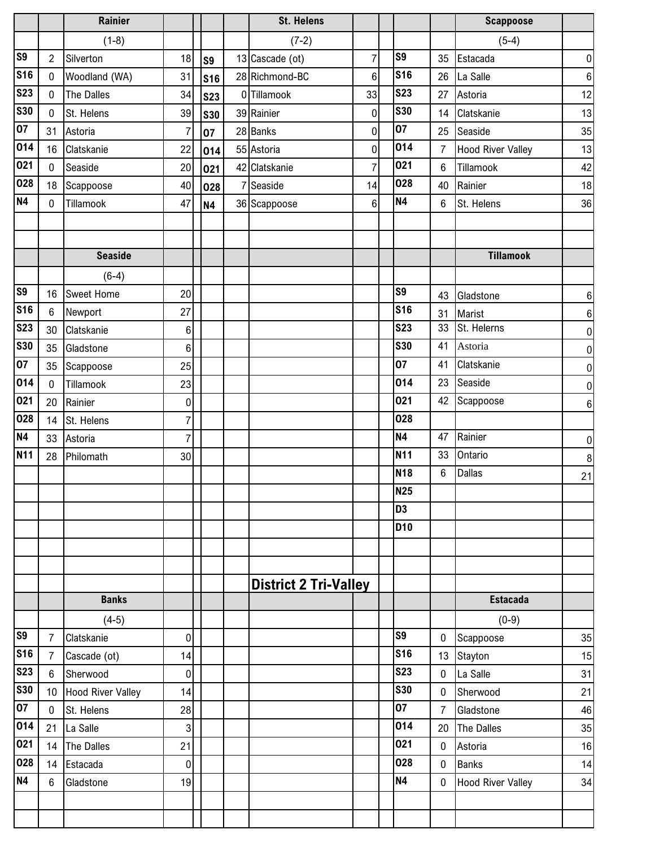|                  |                 | <b>Rainier</b>           |                |                | <b>St. Helens</b>            |                |                 |                | <b>Scappoose</b>         |                |
|------------------|-----------------|--------------------------|----------------|----------------|------------------------------|----------------|-----------------|----------------|--------------------------|----------------|
|                  |                 | $(1-8)$                  |                |                | $(7-2)$                      |                |                 |                | $(5-4)$                  |                |
| S <sub>9</sub>   | $\overline{2}$  | Silverton                | 18             | S <sub>9</sub> | 13 Cascade (ot)              | $\overline{7}$ | S9              | 35             | Estacada                 | 0              |
| <b>S16</b>       | $\mathbf 0$     | Woodland (WA)            | 31             | <b>S16</b>     | 28 Richmond-BC               | $6\phantom{.}$ | <b>S16</b>      | 26             | La Salle                 | 6              |
| <b>S23</b>       | $\mathbf 0$     | The Dalles               | 34             | <b>S23</b>     | 0 Tillamook                  | 33             | <b>S23</b>      | 27             | Astoria                  | 12             |
| <b>S30</b>       | $\mathbf 0$     | St. Helens               | 39             | <b>S30</b>     | 39 Rainier                   | $\mathbf 0$    | <b>S30</b>      | 14             | Clatskanie               | 13             |
| 07               | 31              | Astoria                  | $\overline{7}$ | 07             | 28 Banks                     | $\pmb{0}$      | 07              | 25             | Seaside                  | 35             |
| 014              | 16              | Clatskanie               | 22             | 014            | 55 Astoria                   | $\pmb{0}$      | 014             | $\overline{7}$ | <b>Hood River Valley</b> | 13             |
| 021              | $\pmb{0}$       | Seaside                  | 20             | 021            | 42 Clatskanie                | $\overline{7}$ | 021             | 6              | Tillamook                | 42             |
| 028              | 18              | Scappoose                | 40             | 028            | 7 Seaside                    | 14             | 028             | 40             | Rainier                  | 18             |
| <b>N4</b>        | $\mathbf 0$     | Tillamook                | 47             | <b>N4</b>      | 36 Scappoose                 | $6\phantom{.}$ | <b>N4</b>       | 6              | St. Helens               | 36             |
|                  |                 |                          |                |                |                              |                |                 |                |                          |                |
|                  |                 |                          |                |                |                              |                |                 |                |                          |                |
|                  |                 | <b>Seaside</b>           |                |                |                              |                |                 |                | <b>Tillamook</b>         |                |
|                  |                 | $(6-4)$                  |                |                |                              |                |                 |                |                          |                |
| S <sub>9</sub>   | 16              | <b>Sweet Home</b>        | 20             |                |                              |                | S <sub>9</sub>  | 43             | Gladstone                | 6              |
| <b>S16</b>       | $6\phantom{.}$  | Newport                  | 27             |                |                              |                | <b>S16</b>      | 31             | Marist                   | 6              |
| <b>S23</b>       | 30              | Clatskanie               | 6              |                |                              |                | <b>S23</b>      | 33             | St. Helerns              | $\overline{0}$ |
| <b>S30</b>       | 35              | Gladstone                | 6              |                |                              |                | <b>S30</b>      | 41             | Astoria                  | 0              |
| 07               | 35              | Scappoose                | 25             |                |                              |                | 07              | 41             | Clatskanie               | 0              |
| 014              | $\pmb{0}$       | Tillamook                | 23             |                |                              |                | 014             | 23             | Seaside                  | 0              |
| 021              | 20              | Rainier                  | $\mathbf 0$    |                |                              |                | 021             | 42             | Scappoose                | 6              |
| 028              | 14              | St. Helens               | 7              |                |                              |                | 028             |                |                          |                |
| <b>N4</b>        | 33              | Astoria                  | $\overline{7}$ |                |                              |                | <b>N4</b>       | 47             | Rainier                  | 0              |
| <b>N11</b>       | 28              | Philomath                | 30             |                |                              |                | <b>N11</b>      | 33             | Ontario                  | 8              |
|                  |                 |                          |                |                |                              |                | <b>N18</b>      | 6              | <b>Dallas</b>            | 21             |
|                  |                 |                          |                |                |                              |                | <b>N25</b>      |                |                          |                |
|                  |                 |                          |                |                |                              |                | D <sub>3</sub>  |                |                          |                |
|                  |                 |                          |                |                |                              |                | D <sub>10</sub> |                |                          |                |
|                  |                 |                          |                |                |                              |                |                 |                |                          |                |
|                  |                 |                          |                |                |                              |                |                 |                |                          |                |
|                  |                 |                          |                |                | <b>District 2 Tri-Valley</b> |                |                 |                |                          |                |
|                  |                 | <b>Banks</b>             |                |                |                              |                |                 |                | <b>Estacada</b>          |                |
|                  |                 | $(4-5)$                  |                |                |                              |                |                 |                | $(0-9)$                  |                |
| S <sub>9</sub>   | $\overline{7}$  | Clatskanie               | 0              |                |                              |                | S <sub>9</sub>  | 0              | Scappoose                | 35             |
| <b>S16</b>       | $\overline{7}$  | Cascade (ot)             | 14             |                |                              |                | <b>S16</b>      | 13             | Stayton                  | 15             |
| <b>S23</b>       | $6\phantom{a}$  | Sherwood                 | $\pmb{0}$      |                |                              |                | <b>S23</b>      | $\mathbf 0$    | La Salle                 | 31             |
| <b>S30</b>       | 10 <sup>°</sup> | <b>Hood River Valley</b> | 14             |                |                              |                | <b>S30</b>      | $\mathbf 0$    | Sherwood                 | 21             |
| 07               | $\mathbf 0$     | St. Helens               | 28             |                |                              |                | 07              | $\overline{7}$ | Gladstone                | 46             |
| 014              | 21              | La Salle                 | 3              |                |                              |                | 014             | 20             | The Dalles               | 35             |
| 021              | 14              | The Dalles               | 21             |                |                              |                | 021             | $\mathbf 0$    | Astoria                  | 16             |
| 028<br><b>N4</b> | 14              | Estacada                 | $\pmb{0}$      |                |                              |                | 028             | $\mathbf 0$    | <b>Banks</b>             | 14             |
|                  | $6\phantom{.}$  | Gladstone                | 19             |                |                              |                | <b>N4</b>       | $\mathbf 0$    | <b>Hood River Valley</b> | 34             |
|                  |                 |                          |                |                |                              |                |                 |                |                          |                |
|                  |                 |                          |                |                |                              |                |                 |                |                          |                |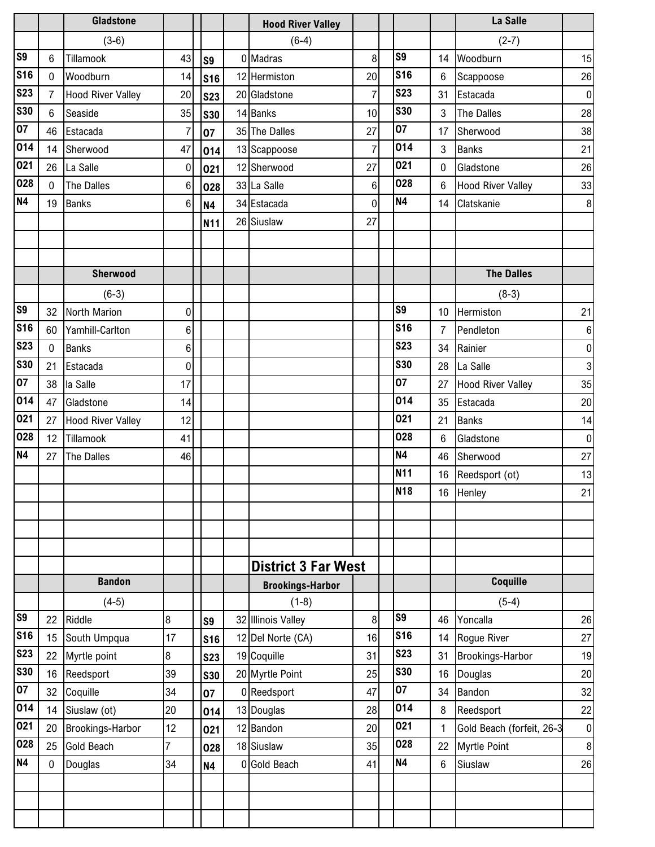|                |                | <b>Gladstone</b>         |                 |                | <b>Hood River Valley</b>   |                |                |                | La Salle                  |                |
|----------------|----------------|--------------------------|-----------------|----------------|----------------------------|----------------|----------------|----------------|---------------------------|----------------|
|                |                | $(3-6)$                  |                 |                | $(6-4)$                    |                |                |                | $(2-7)$                   |                |
| S <sub>9</sub> | 6              | Tillamook                | 43              | S <sub>9</sub> | 0 Madras                   | 8              | S9             | 14             | Woodburn                  | 15             |
| <b>S16</b>     | $\mathbf 0$    | Woodburn                 | 14              | <b>S16</b>     | 12 Hermiston               | 20             | <b>S16</b>     | 6              | Scappoose                 | 26             |
| <b>S23</b>     | $\overline{7}$ | <b>Hood River Valley</b> | 20              | <b>S23</b>     | 20 Gladstone               | $\overline{7}$ | <b>S23</b>     | 31             | Estacada                  | $\overline{0}$ |
| <b>S30</b>     | 6              | Seaside                  | 35              | <b>S30</b>     | 14 Banks                   | 10             | <b>S30</b>     | 3              | The Dalles                | 28             |
| 07             | 46             | Estacada                 | 7               | 07             | 35 The Dalles              | 27             | 07             | 17             | Sherwood                  | 38             |
| 014            | 14             | Sherwood                 | 47              | 014            | 13 Scappoose               | $\overline{7}$ | 014            | 3              | <b>Banks</b>              | 21             |
| 021            | 26             | La Salle                 | $\mathbf 0$     | 021            | 12 Sherwood                | 27             | 021            | 0              | Gladstone                 | 26             |
| 028            | $\mathbf 0$    | <b>The Dalles</b>        | $6\phantom{a}$  | 028            | 33 La Salle                | $6\phantom{.}$ | 028            | 6              | <b>Hood River Valley</b>  | 33             |
| <b>N4</b>      | 19             | <b>Banks</b>             | $6\phantom{1}6$ | <b>N4</b>      | 34 Estacada                | $\mathbf 0$    | <b>N4</b>      | 14             | Clatskanie                | 8              |
|                |                |                          |                 | N11            | 26 Siuslaw                 | 27             |                |                |                           |                |
|                |                |                          |                 |                |                            |                |                |                |                           |                |
|                |                |                          |                 |                |                            |                |                |                |                           |                |
|                |                | Sherwood                 |                 |                |                            |                |                |                | <b>The Dalles</b>         |                |
|                |                | $(6-3)$                  |                 |                |                            |                |                |                | $(8-3)$                   |                |
| S <sub>9</sub> | 32             | North Marion             | 0               |                |                            |                | S <sub>9</sub> | 10             | Hermiston                 | 21             |
| <b>S16</b>     | 60             | Yamhill-Carlton          | 6               |                |                            |                | <b>S16</b>     | $\overline{7}$ | Pendleton                 | 6              |
| <b>S23</b>     | $\mathbf 0$    | <b>Banks</b>             | 6               |                |                            |                | <b>S23</b>     | 34             | Rainier                   | $\overline{0}$ |
| <b>S30</b>     | 21             | Estacada                 | 0               |                |                            |                | <b>S30</b>     | 28             | La Salle                  | 3              |
| 07             | 38             | la Salle                 | 17              |                |                            |                | 07             | 27             | <b>Hood River Valley</b>  | 35             |
| 014            | 47             | Gladstone                | 14              |                |                            |                | 014            | 35             | Estacada                  | 20             |
| 021            | 27             | <b>Hood River Valley</b> | 12              |                |                            |                | 021            | 21             | <b>Banks</b>              | 14             |
| 028            | 12             | Tillamook                | 41              |                |                            |                | 028            | 6              | Gladstone                 | $\overline{0}$ |
| <b>N4</b>      | 27             | The Dalles               | 46              |                |                            |                | <b>N4</b>      | 46             | Sherwood                  | 27             |
|                |                |                          |                 |                |                            |                | <b>N11</b>     | 16             | Reedsport (ot)            | 13             |
|                |                |                          |                 |                |                            |                | <b>N18</b>     | $16 \,$        | Henley                    | 21             |
|                |                |                          |                 |                |                            |                |                |                |                           |                |
|                |                |                          |                 |                |                            |                |                |                |                           |                |
|                |                |                          |                 |                |                            |                |                |                |                           |                |
|                |                |                          |                 |                | <b>District 3 Far West</b> |                |                |                |                           |                |
|                |                | <b>Bandon</b>            |                 |                | <b>Brookings-Harbor</b>    |                |                |                | Coquille                  |                |
|                |                | $(4-5)$                  |                 |                | $(1-8)$                    |                |                |                | $(5-4)$                   |                |
| <b>S9</b>      | 22             | Riddle                   | 8               | S9             | 32 Illinois Valley         | 8              | S <sub>9</sub> | 46             | Yoncalla                  | 26             |
| <b>S16</b>     | 15             | South Umpqua             | 17              | <b>S16</b>     | 12 Del Norte (CA)          | 16             | <b>S16</b>     | 14             | Rogue River               | 27             |
| <b>S23</b>     | 22             | Myrtle point             | 8               | <b>S23</b>     | 19 Coquille                | 31             | <b>S23</b>     | 31             | Brookings-Harbor          | 19             |
| <b>S30</b>     | 16             | Reedsport                | 39              | <b>S30</b>     | 20 Myrtle Point            | 25             | <b>S30</b>     | 16             | Douglas                   | 20             |
| 07             | 32             | Coquille                 | 34              | 07             | 0 Reedsport                | 47             | 07             | 34             | Bandon                    | 32             |
| 014            | 14             | Siuslaw (ot)             | 20              | 014            | 13 Douglas                 | 28             | 014            | 8              | Reedsport                 | 22             |
| 021            | 20             | Brookings-Harbor         | 12              | 021            | 12 Bandon                  | 20             | 021            | 1              | Gold Beach (forfeit, 26-3 | 0              |
| 028            | 25             | <b>Gold Beach</b>        | 7               | 028            | 18 Siuslaw                 | 35             | 028            | 22             | Myrtle Point              | 8              |
| <b>N4</b>      | $\mathbf 0$    | Douglas                  | 34              | <b>N4</b>      | 0 Gold Beach               | 41             | <b>N4</b>      | 6              | Siuslaw                   | 26             |
|                |                |                          |                 |                |                            |                |                |                |                           |                |
|                |                |                          |                 |                |                            |                |                |                |                           |                |
|                |                |                          |                 |                |                            |                |                |                |                           |                |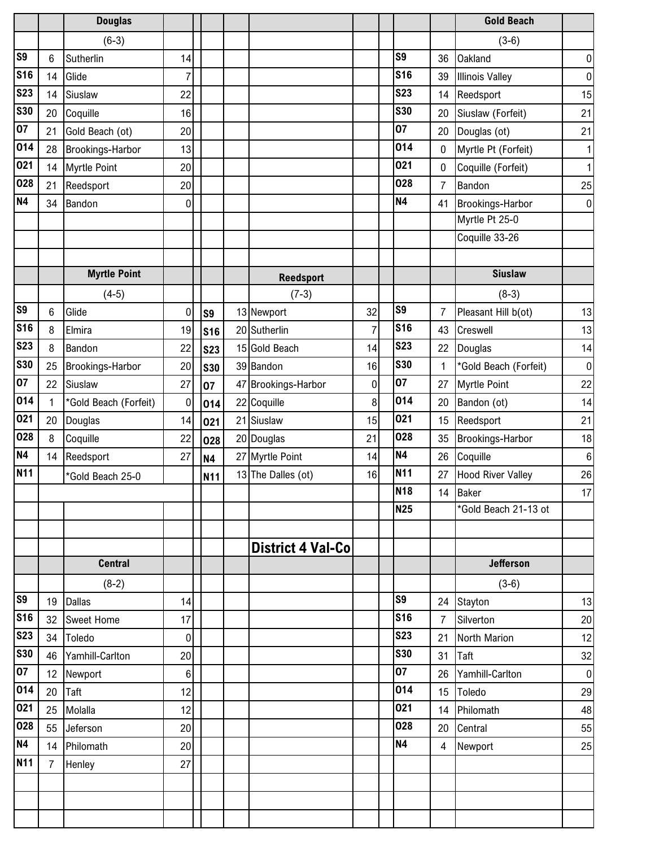|                         |                      | <b>Douglas</b>          |          |                |                          |    |                |                  | <b>Gold Beach</b>        |                  |
|-------------------------|----------------------|-------------------------|----------|----------------|--------------------------|----|----------------|------------------|--------------------------|------------------|
|                         |                      | $(6-3)$                 |          |                |                          |    |                |                  | $(3-6)$                  |                  |
| S <sub>9</sub>          | 6                    | Sutherlin               | 14       |                |                          |    | S <sub>9</sub> | 36               | <b>Oakland</b>           | 0                |
| <b>S16</b>              | 14                   | Glide                   | 7        |                |                          |    | <b>S16</b>     | 39               | <b>Illinois Valley</b>   | $\boldsymbol{0}$ |
| <b>S23</b>              | 14                   | Siuslaw                 | 22       |                |                          |    | <b>S23</b>     | 14               | Reedsport                | 15               |
| <b>S30</b>              | 20                   | Coquille                | 16       |                |                          |    | <b>S30</b>     | 20               | Siuslaw (Forfeit)        | 21               |
| 07                      | 21                   | Gold Beach (ot)         | 20       |                |                          |    | 07             | 20               | Douglas (ot)             | 21               |
| 014                     | 28                   | Brookings-Harbor        | 13       |                |                          |    | 014            | 0                | Myrtle Pt (Forfeit)      | 1                |
| 021                     | 14                   | <b>Myrtle Point</b>     | 20       |                |                          |    | 021            | 0                | Coquille (Forfeit)       | 1                |
| 028                     | 21                   | Reedsport               | 20       |                |                          |    | 028            | $\overline{7}$   | Bandon                   | 25               |
| <b>N4</b>               | 34                   | Bandon                  | 0        |                |                          |    | <b>N4</b>      | 41               | Brookings-Harbor         | $\bf{0}$         |
|                         |                      |                         |          |                |                          |    |                |                  | Myrtle Pt 25-0           |                  |
|                         |                      |                         |          |                |                          |    |                |                  | Coquille 33-26           |                  |
|                         |                      |                         |          |                |                          |    |                |                  |                          |                  |
|                         |                      | <b>Myrtle Point</b>     |          |                | <b>Reedsport</b>         |    |                |                  | <b>Siuslaw</b>           |                  |
|                         |                      | $(4-5)$                 |          |                | $(7-3)$                  |    |                |                  | $(8-3)$                  |                  |
| S <sub>9</sub>          | 6                    | Glide                   | 0        | S <sub>9</sub> | 13 Newport               | 32 | S <sub>9</sub> | 7                | Pleasant Hill b(ot)      | 13               |
| <b>S16</b>              | 8                    | Elmira                  | 19       | <b>S16</b>     | 20 Sutherlin             | 7  | <b>S16</b>     | 43               | Creswell                 | 13               |
| <b>S23</b>              | 8                    | Bandon                  | 22       | <b>S23</b>     | 15 Gold Beach            | 14 | <b>S23</b>     | 22               | Douglas                  | 14               |
| <b>S30</b>              | 25                   | <b>Brookings-Harbor</b> | 20       | <b>S30</b>     | 39 Bandon                | 16 | <b>S30</b>     | $\mathbf{1}$     | *Gold Beach (Forfeit)    | $\mathbf 0$      |
| 07                      | 22                   | Siuslaw                 | 27       | 07             | 47 Brookings-Harbor      | 0  | 07             | 27               | <b>Myrtle Point</b>      | 22               |
| 014                     | 1                    | *Gold Beach (Forfeit)   | 0        | 014            | 22 Coquille              | 8  | 014            | 20               | Bandon (ot)              | 14               |
| 021                     | 20                   | Douglas                 | 14       | 021            | 21 Siuslaw               | 15 | 021            | 15               | Reedsport                | 21               |
| 028                     | 8                    | Coquille                | 22       | 028            | 20 Douglas               | 21 | 028            | 35               | Brookings-Harbor         | 18               |
| <b>N4</b>               | 14                   | Reedsport               | 27       | <b>N4</b>      | 27 Myrtle Point          | 14 | <b>N4</b>      | 26               | Coquille                 | $\boldsymbol{6}$ |
| <b>N11</b>              |                      | *Gold Beach 25-0        |          | N11            | 13 The Dalles (ot)       | 16 | <b>N11</b>     | 27               | <b>Hood River Valley</b> | 26               |
|                         |                      |                         |          |                |                          |    | <b>N18</b>     | 14               | <b>Baker</b>             | $17\,$           |
|                         |                      |                         |          |                |                          |    | <b>N25</b>     |                  | *Gold Beach 21-13 ot     |                  |
|                         |                      |                         |          |                |                          |    |                |                  |                          |                  |
|                         |                      |                         |          |                | <b>District 4 Val-Co</b> |    |                |                  |                          |                  |
|                         |                      | <b>Central</b>          |          |                |                          |    |                |                  | <b>Jefferson</b>         |                  |
|                         |                      | $(8-2)$                 |          |                |                          |    | S <sub>9</sub> |                  | $(3-6)$                  |                  |
| <b>S9</b><br><b>S16</b> | 19                   | <b>Dallas</b>           | 14       |                |                          |    | <b>S16</b>     | 24               | Stayton                  | 13               |
| <b>S23</b>              | 32                   | Sweet Home              | 17       |                |                          |    | <b>S23</b>     | $\overline{7}$   | Silverton                | 20               |
| <b>S30</b>              | 34                   | Toledo                  | 0        |                |                          |    | <b>S30</b>     | 21               | North Marion             | 12               |
| 07                      | 46                   | Yamhill-Carlton         | 20       |                |                          |    | 07             | 31               | Taft                     | $32\,$           |
| 014                     | 12                   | Newport                 | 6        |                |                          |    | 014            | 26               | Yamhill-Carlton          | $\boldsymbol{0}$ |
| 021                     | 20                   | Taft                    | 12       |                |                          |    | 021            | 15 <sub>15</sub> | Toledo                   | 29               |
| 028                     | 25                   | Molalla                 | 12       |                |                          |    | 028            | 14               | Philomath                | 48               |
| N4                      | 55                   | Jeferson                | 20       |                |                          |    | <b>N4</b>      | 20               | Central                  | 55               |
| N11                     | 14<br>$\overline{7}$ | Philomath               | 20<br>27 |                |                          |    |                | 4                | Newport                  | 25               |
|                         |                      | Henley                  |          |                |                          |    |                |                  |                          |                  |
|                         |                      |                         |          |                |                          |    |                |                  |                          |                  |
|                         |                      |                         |          |                |                          |    |                |                  |                          |                  |
|                         |                      |                         |          |                |                          |    |                |                  |                          |                  |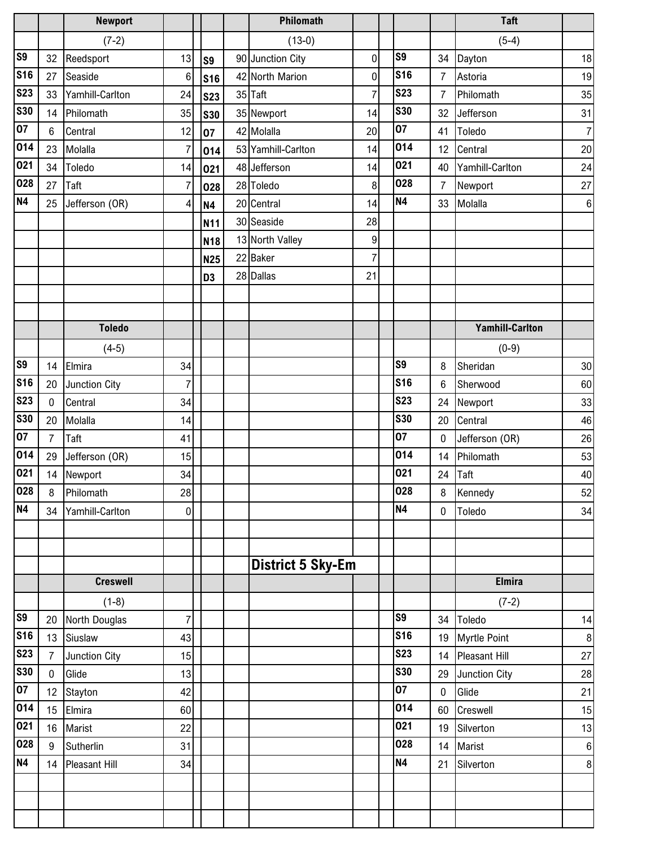|            |                | <b>Newport</b>       |                |                 | Philomath                |                |                |                | <b>Taft</b>            |    |
|------------|----------------|----------------------|----------------|-----------------|--------------------------|----------------|----------------|----------------|------------------------|----|
|            |                | $(7-2)$              |                |                 | $(13-0)$                 |                |                |                | $(5-4)$                |    |
| S9         | 32             | Reedsport            | 13             | S <sub>9</sub>  | 90 Junction City         | 0              | S <sub>9</sub> | 34             | Dayton                 | 18 |
| <b>S16</b> | 27             | Seaside              | $6\phantom{1}$ | <b>S16</b>      | 42 North Marion          | 0              | <b>S16</b>     | $\overline{7}$ | Astoria                | 19 |
| <b>S23</b> | 33             | Yamhill-Carlton      | 24             | <b>S23</b>      | 35 Taft                  | $\overline{7}$ | <b>S23</b>     | $\overline{7}$ | Philomath              | 35 |
| <b>S30</b> | 14             | Philomath            | 35             | <b>S30</b>      | 35 Newport               | 14             | <b>S30</b>     | 32             | Jefferson              | 31 |
| 07         | 6              | Central              | 12             | 07              | 42 Molalla               | 20             | 07             | 41             | Toledo                 | 7  |
| 014        | 23             | Molalla              | $\overline{7}$ | 014             | 53 Yamhill-Carlton       | 14             | 014            | 12             | Central                | 20 |
| 021        | 34             | Toledo               | 14             | 021             | 48 Jefferson             | 14             | 021            | 40             | Yamhill-Carlton        | 24 |
| 028        | 27             | Taft                 | $\overline{7}$ | 028             | 28 Toledo                | 8              | 028            | $\overline{7}$ | Newport                | 27 |
| <b>N4</b>  | 25             | Jefferson (OR)       | 4              | <b>N4</b>       | 20 Central               | 14             | <b>N4</b>      | 33             | Molalla                | 6  |
|            |                |                      |                | N11             | 30 Seaside               | 28             |                |                |                        |    |
|            |                |                      |                | N <sub>18</sub> | 13 North Valley          | 9              |                |                |                        |    |
|            |                |                      |                | <b>N25</b>      | 22 Baker                 | $\overline{7}$ |                |                |                        |    |
|            |                |                      |                | D <sub>3</sub>  | 28 Dallas                | 21             |                |                |                        |    |
|            |                |                      |                |                 |                          |                |                |                |                        |    |
|            |                |                      |                |                 |                          |                |                |                |                        |    |
|            |                | <b>Toledo</b>        |                |                 |                          |                |                |                | <b>Yamhill-Carlton</b> |    |
|            |                | $(4-5)$              |                |                 |                          |                |                |                | $(0-9)$                |    |
| S9         | 14             | Elmira               | 34             |                 |                          |                | S <sub>9</sub> | 8              | Sheridan               | 30 |
| <b>S16</b> | 20             | Junction City        | $\overline{7}$ |                 |                          |                | <b>S16</b>     | 6              | Sherwood               | 60 |
| <b>S23</b> | $\mathbf 0$    | Central              | 34             |                 |                          |                | <b>S23</b>     | 24             | Newport                | 33 |
| <b>S30</b> | 20             | Molalla              | 14             |                 |                          |                | <b>S30</b>     | 20             | Central                | 46 |
| 07         | 7              | Taft                 | 41             |                 |                          |                | 07             | 0              | Jefferson (OR)         | 26 |
| 014        | 29             | Jefferson (OR)       | 15             |                 |                          |                | 014            | 14             | Philomath              | 53 |
| 021        | 14             | Newport              | 34             |                 |                          |                | 021            | 24             | Taft                   | 40 |
| 028        | 8              | Philomath            | 28             |                 |                          |                | 028            | 8              | Kennedy                | 52 |
| <b>N4</b>  | 34             | Yamhill-Carlton      | $\mathbf{0}$   |                 |                          |                | <b>N4</b>      | 0              | Toledo                 | 34 |
|            |                |                      |                |                 |                          |                |                |                |                        |    |
|            |                |                      |                |                 |                          |                |                |                |                        |    |
|            |                |                      |                |                 | <b>District 5 Sky-Em</b> |                |                |                |                        |    |
|            |                | <b>Creswell</b>      |                |                 |                          |                |                |                | <b>Elmira</b>          |    |
|            |                | $(1-8)$              |                |                 |                          |                |                |                | $(7-2)$                |    |
| S9         | 20             | North Douglas        | $\overline{7}$ |                 |                          |                | S <sub>9</sub> | 34             | Toledo                 | 14 |
| <b>S16</b> | 13             | Siuslaw              | 43             |                 |                          |                | <b>S16</b>     | 19             | <b>Myrtle Point</b>    | 8  |
| <b>S23</b> | $\overline{7}$ | Junction City        | 15             |                 |                          |                | <b>S23</b>     | 14             | <b>Pleasant Hill</b>   | 27 |
| <b>S30</b> | $\mathbf 0$    | Glide                | 13             |                 |                          |                | <b>S30</b>     | 29             | Junction City          | 28 |
| 07         | 12             | Stayton              | 42             |                 |                          |                | 07             | $\mathbf 0$    | Glide                  | 21 |
| 014        | 15             | Elmira               | 60             |                 |                          |                | 014            | 60             | Creswell               | 15 |
| 021        | 16             | Marist               | 22             |                 |                          |                | 021            | 19             | Silverton              | 13 |
| 028        | 9              | Sutherlin            | 31             |                 |                          |                | 028            | 14             | Marist                 | 6  |
| <b>N4</b>  | 14             | <b>Pleasant Hill</b> | 34             |                 |                          |                | <b>N4</b>      | 21             | Silverton              | 8  |
|            |                |                      |                |                 |                          |                |                |                |                        |    |
|            |                |                      |                |                 |                          |                |                |                |                        |    |
|            |                |                      |                |                 |                          |                |                |                |                        |    |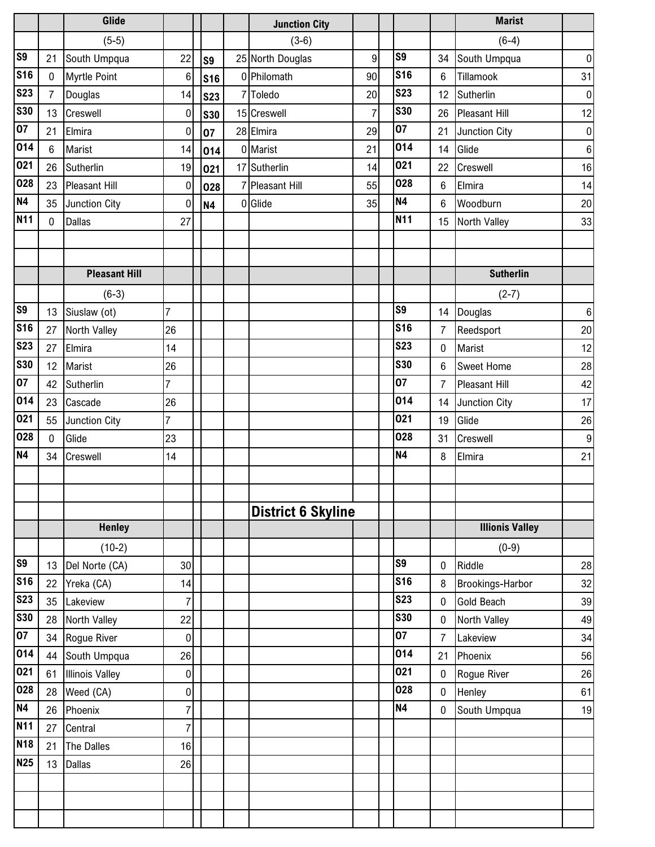|                 |                | Glide                  |                  |            |   | <b>Junction City</b>      |    |                |                | <b>Marist</b>          |                 |
|-----------------|----------------|------------------------|------------------|------------|---|---------------------------|----|----------------|----------------|------------------------|-----------------|
|                 |                | $(5-5)$                |                  |            |   | $(3-6)$                   |    |                |                | $(6-4)$                |                 |
| <b>S9</b>       | 21             | South Umpqua           | 22               | S9         |   | 25 North Douglas          | 9  | S9             | 34             | South Umpqua           | 0               |
| <b>S16</b>      | $\mathbf 0$    | <b>Myrtle Point</b>    | $\,6$            | <b>S16</b> |   | 0 Philomath               | 90 | <b>S16</b>     | $6\phantom{1}$ | Tillamook              | 31              |
| <b>S23</b>      | $\overline{7}$ | Douglas                | 14               | <b>S23</b> | 7 | Toledo                    | 20 | <b>S23</b>     | 12             | Sutherlin              | 0               |
| <b>S30</b>      | 13             | Creswell               | $\pmb{0}$        | <b>S30</b> |   | 15 Creswell               | 7  | <b>S30</b>     | 26             | <b>Pleasant Hill</b>   | 12              |
| $\overline{07}$ | 21             | Elmira                 | $\pmb{0}$        | 07         |   | 28 Elmira                 | 29 | 07             | 21             | Junction City          | 0               |
| 014             | 6              | Marist                 | 14               | 014        |   | 0 Marist                  | 21 | 014            | 14             | Glide                  | 6 <sup>1</sup>  |
| 021             | 26             | Sutherlin              | 19               | 021        |   | 17 Sutherlin              | 14 | 021            | 22             | Creswell               | 16              |
| 028             | 23             | <b>Pleasant Hill</b>   | $\pmb{0}$        | 028        |   | 7 Pleasant Hill           | 55 | 028            | 6              | Elmira                 | 14              |
| <b>N4</b>       | 35             | Junction City          | $\boldsymbol{0}$ | <b>N4</b>  |   | 0 Glide                   | 35 | <b>N4</b>      | 6              | Woodburn               | 20              |
| <b>N11</b>      | $\mathbf 0$    | <b>Dallas</b>          | 27               |            |   |                           |    | <b>N11</b>     | 15             | North Valley           | 33              |
|                 |                |                        |                  |            |   |                           |    |                |                |                        |                 |
|                 |                |                        |                  |            |   |                           |    |                |                |                        |                 |
|                 |                | <b>Pleasant Hill</b>   |                  |            |   |                           |    |                |                | <b>Sutherlin</b>       |                 |
|                 |                | $(6-3)$                |                  |            |   |                           |    |                |                | $(2-7)$                |                 |
| S <sub>9</sub>  | 13             | Siuslaw (ot)           | $\overline{7}$   |            |   |                           |    | S <sub>9</sub> | 14             | Douglas                | 6               |
| <b>S16</b>      | 27             | North Valley           | 26               |            |   |                           |    | <b>S16</b>     | 7              | Reedsport              | 20 <sup>°</sup> |
| <b>S23</b>      | 27             | Elmira                 | 14               |            |   |                           |    | <b>S23</b>     | $\pmb{0}$      | Marist                 | 12              |
| <b>S30</b>      | 12             | Marist                 | 26               |            |   |                           |    | <b>S30</b>     | 6              | <b>Sweet Home</b>      | 28              |
| $\overline{07}$ | 42             | Sutherlin              | $\overline{7}$   |            |   |                           |    | 07             | $\overline{7}$ | <b>Pleasant Hill</b>   | 42              |
| 014             | 23             | Cascade                | 26               |            |   |                           |    | 014            | 14             | Junction City          | 17 <sub>l</sub> |
| 021             | 55             | Junction City          | $\overline{7}$   |            |   |                           |    | 021            | 19             | Glide                  | 26              |
| 028             | $\mathbf 0$    | Glide                  | 23               |            |   |                           |    | 028            | 31             | Creswell               | 9               |
| <b>N4</b>       | 34             | Creswell               | 14               |            |   |                           |    | <b>N4</b>      | 8              | Elmira                 | 21              |
|                 |                |                        |                  |            |   |                           |    |                |                |                        |                 |
|                 |                |                        |                  |            |   |                           |    |                |                |                        |                 |
|                 |                |                        |                  |            |   | <b>District 6 Skyline</b> |    |                |                |                        |                 |
|                 |                | <b>Henley</b>          |                  |            |   |                           |    |                |                | <b>Illionis Valley</b> |                 |
|                 |                | $(10-2)$               |                  |            |   |                           |    |                |                | $(0-9)$                |                 |
| <b>S9</b>       | 13             | Del Norte (CA)         | 30               |            |   |                           |    | S9             | 0              | Riddle                 | 28              |
| <b>S16</b>      | 22             | Yreka (CA)             | 14               |            |   |                           |    | <b>S16</b>     | 8              | Brookings-Harbor       | 32              |
| <b>S23</b>      | 35             | Lakeview               | 7                |            |   |                           |    | <b>S23</b>     | $\mathbf 0$    | <b>Gold Beach</b>      | 39              |
| <b>S30</b>      | 28             | North Valley           | 22               |            |   |                           |    | <b>S30</b>     | 0              | North Valley           | 49              |
| 07              | 34             | Rogue River            | 0                |            |   |                           |    | 07             | 7              | Lakeview               | 34              |
| 014             | 44             | South Umpqua           | 26               |            |   |                           |    | 014            | 21             | Phoenix                | 56              |
| 021             | 61             | <b>Illinois Valley</b> | $\pmb{0}$        |            |   |                           |    | 021            | $\pmb{0}$      | Rogue River            | 26              |
| 028             | 28             | Weed (CA)              | 0                |            |   |                           |    | 028            | $\mathbf 0$    | Henley                 | 61              |
| <b>N4</b>       | 26             | Phoenix                | 7                |            |   |                           |    | <b>N4</b>      | $\pmb{0}$      | South Umpqua           | 19              |
| <b>N11</b>      | 27             | Central                | 7                |            |   |                           |    |                |                |                        |                 |
| <b>N18</b>      | 21             | <b>The Dalles</b>      | 16               |            |   |                           |    |                |                |                        |                 |
| <b>N25</b>      | 13             | <b>Dallas</b>          | 26               |            |   |                           |    |                |                |                        |                 |
|                 |                |                        |                  |            |   |                           |    |                |                |                        |                 |
|                 |                |                        |                  |            |   |                           |    |                |                |                        |                 |
|                 |                |                        |                  |            |   |                           |    |                |                |                        |                 |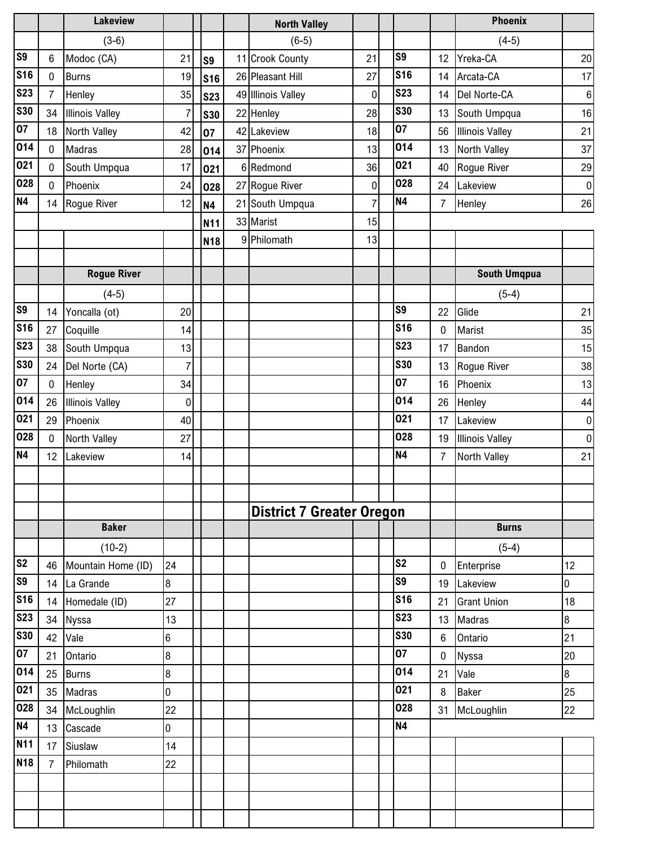|                |                | <b>Lakeview</b>        |                  |            | <b>North Valley</b>              |                |                |                | <b>Phoenix</b>         |                  |
|----------------|----------------|------------------------|------------------|------------|----------------------------------|----------------|----------------|----------------|------------------------|------------------|
|                |                | $(3-6)$                |                  |            | $(6-5)$                          |                |                |                | $(4-5)$                |                  |
| S <sub>9</sub> | 6              | Modoc (CA)             | 21               | S9         | 11 Crook County                  | 21             | S9             | 12             | Yreka-CA               | 20               |
| <b>S16</b>     | $\mathbf 0$    | <b>Burns</b>           | 19               | <b>S16</b> | 26 Pleasant Hill                 | 27             | <b>S16</b>     | 14             | Arcata-CA              | 17               |
| <b>S23</b>     | $\overline{7}$ | Henley                 | 35               | <b>S23</b> | 49 Illinois Valley               | 0              | <b>S23</b>     | 14             | Del Norte-CA           | $\,6\,$          |
| <b>S30</b>     | 34             | <b>Illinois Valley</b> | $\overline{7}$   | <b>S30</b> | 22 Henley                        | 28             | <b>S30</b>     | 13             | South Umpqua           | 16               |
| 07             | 18             | North Valley           | 42               | 07         | 42 Lakeview                      | 18             | 07             | 56             | <b>Illinois Valley</b> | 21               |
| 014            | $\mathbf 0$    | Madras                 | 28               | 014        | 37 Phoenix                       | 13             | 014            | 13             | North Valley           | 37               |
| 021            | $\pmb{0}$      | South Umpqua           | 17               | 021        | 6 Redmond                        | 36             | 021            | 40             | Rogue River            | 29               |
| 028            | $\mathbf 0$    | Phoenix                | 24               | 028        | 27 Rogue River                   | 0              | 028            | 24             | Lakeview               | $\boldsymbol{0}$ |
| <b>N4</b>      | 14             | Rogue River            | 12               | <b>N4</b>  | 21 South Umpqua                  | $\overline{7}$ | <b>N4</b>      | $\overline{7}$ | Henley                 | $26\,$           |
|                |                |                        |                  | N11        | 33 Marist                        | 15             |                |                |                        |                  |
|                |                |                        |                  | <b>N18</b> | 9 Philomath                      | 13             |                |                |                        |                  |
|                |                |                        |                  |            |                                  |                |                |                |                        |                  |
|                |                | <b>Rogue River</b>     |                  |            |                                  |                |                |                | <b>South Umqpua</b>    |                  |
|                |                | $(4-5)$                |                  |            |                                  |                |                |                | $(5-4)$                |                  |
| S <sub>9</sub> | 14             | Yoncalla (ot)          | 20               |            |                                  |                | S <sub>9</sub> | 22             | Glide                  | 21               |
| <b>S16</b>     | 27             | Coquille               | 14               |            |                                  |                | <b>S16</b>     | 0              | Marist                 | 35               |
| <b>S23</b>     | 38             | South Umpqua           | 13               |            |                                  |                | <b>S23</b>     | 17             | Bandon                 | 15               |
| <b>S30</b>     | 24             | Del Norte (CA)         | $\overline{7}$   |            |                                  |                | <b>S30</b>     | 13             | Rogue River            | 38               |
| 07             | $\mathbf 0$    | Henley                 | 34               |            |                                  |                | 07             | 16             | Phoenix                | 13               |
| 014            | 26             | <b>Illinois Valley</b> | $\mathbf 0$      |            |                                  |                | 014            | 26             | Henley                 | 44               |
| 021            | 29             | Phoenix                | 40               |            |                                  |                | 021            | 17             | Lakeview               | $\boldsymbol{0}$ |
| 028            | 0              | North Valley           | 27               |            |                                  |                | 028            | 19             | <b>Illinois Valley</b> | $\boldsymbol{0}$ |
| <b>N4</b>      | 12             | Lakeview               | 14               |            |                                  |                | <b>N4</b>      | $\overline{7}$ | North Valley           | 21               |
|                |                |                        |                  |            |                                  |                |                |                |                        |                  |
|                |                |                        |                  |            |                                  |                |                |                |                        |                  |
|                |                |                        |                  |            | <b>District 7 Greater Oregon</b> |                |                |                |                        |                  |
|                |                | <b>Baker</b>           |                  |            |                                  |                |                |                | <b>Burns</b>           |                  |
|                |                | $(10-2)$               |                  |            |                                  |                |                |                | $(5-4)$                |                  |
| s <sub>2</sub> | 46             | Mountain Home (ID)     | 24               |            |                                  |                | S <sub>2</sub> | 0              | Enterprise             | 12               |
| S <sub>9</sub> | 14             | La Grande              | 8                |            |                                  |                | S9             | 19             | Lakeview               | 0                |
| <b>S16</b>     | 14             | Homedale (ID)          | 27               |            |                                  |                | <b>S16</b>     | 21             | <b>Grant Union</b>     | 18               |
| <b>S23</b>     | 34             | Nyssa                  | 13               |            |                                  |                | <b>S23</b>     | 13             | <b>Madras</b>          | 8                |
| <b>S30</b>     | 42             | Vale                   | 6                |            |                                  |                | <b>S30</b>     | 6              | Ontario                | 21               |
| 07             | 21             | Ontario                | 8                |            |                                  |                | 07             | $\mathbf 0$    | <b>Nyssa</b>           | 20               |
| 014            | 25             | <b>Burns</b>           | $\boldsymbol{8}$ |            |                                  |                | 014            | 21             | Vale                   | 8                |
| 021            | 35             | Madras                 | 0                |            |                                  |                | 021            | 8              | <b>Baker</b>           | 25               |
| 028            | 34             | McLoughlin             | 22               |            |                                  |                | 028            | 31             | McLoughlin             | 22               |
| <b>N4</b>      | 13             | Cascade                | 0                |            |                                  |                | <b>N4</b>      |                |                        |                  |
| <b>N11</b>     | 17             | Siuslaw                | 14               |            |                                  |                |                |                |                        |                  |
| <b>N18</b>     | $\overline{7}$ | Philomath              | 22               |            |                                  |                |                |                |                        |                  |
|                |                |                        |                  |            |                                  |                |                |                |                        |                  |
|                |                |                        |                  |            |                                  |                |                |                |                        |                  |
|                |                |                        |                  |            |                                  |                |                |                |                        |                  |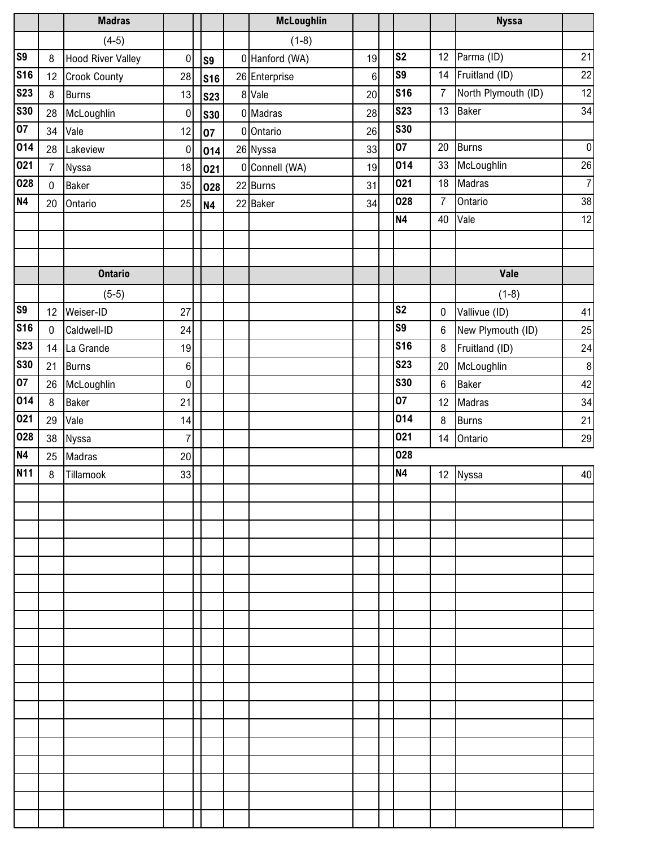|                |                | <b>Madras</b>            |                |                | <b>McLoughlin</b> |    |                 |                | <b>Nyssa</b>        |                |
|----------------|----------------|--------------------------|----------------|----------------|-------------------|----|-----------------|----------------|---------------------|----------------|
|                |                | $(4-5)$                  |                |                | $(1-8)$           |    |                 |                |                     |                |
| S <sub>9</sub> | 8              | <b>Hood River Valley</b> | $\mathbf 0$    | S <sub>9</sub> | 0 Hanford (WA)    | 19 | S <sub>2</sub>  | 12             | Parma (ID)          | 21             |
| <b>S16</b>     | 12             | <b>Crook County</b>      | 28             | <b>S16</b>     | 26 Enterprise     | 6  | S <sub>9</sub>  | 14             | Fruitland (ID)      | 22             |
| <b>S23</b>     | 8              | <b>Burns</b>             | 13             | <b>S23</b>     | 8 Vale            | 20 | <b>S16</b>      | $\overline{7}$ | North Plymouth (ID) | 12             |
| <b>S30</b>     | 28             | McLoughlin               | $\pmb{0}$      | <b>S30</b>     | 0 Madras          | 28 | <b>S23</b>      | 13             | <b>Baker</b>        | 34             |
| 07             | 34             | Vale                     | 12             | 07             | 0 Ontario         | 26 | <b>S30</b>      |                |                     |                |
| 014            | 28             | Lakeview                 | $\pmb{0}$      | 014            | 26 Nyssa          | 33 | $\overline{07}$ | 20             | <b>Burns</b>        | $\pmb{0}$      |
| 021            | $\overline{7}$ | Nyssa                    | 18             | 021            | 0 Connell (WA)    | 19 | 014             | 33             | McLoughlin          | 26             |
| 028            | $\pmb{0}$      | <b>Baker</b>             | 35             | 028            | 22 Burns          | 31 | 021             | 18             | Madras              | $\overline{7}$ |
| <b>N4</b>      | 20             | Ontario                  | 25             | <b>N4</b>      | 22 Baker          | 34 | 028             | $\overline{7}$ | Ontario             | 38             |
|                |                |                          |                |                |                   |    | N4              | 40             | Vale                | 12             |
|                |                |                          |                |                |                   |    |                 |                |                     |                |
|                |                |                          |                |                |                   |    |                 |                |                     |                |
|                |                | <b>Ontario</b>           |                |                |                   |    |                 |                | Vale                |                |
|                |                | $(5-5)$                  |                |                |                   |    |                 |                | $(1-8)$             |                |
| S <sub>9</sub> | 12             | Weiser-ID                | 27             |                |                   |    | S <sub>2</sub>  | $\mathbf 0$    | Vallivue (ID)       | 41             |
| <b>S16</b>     | $\mathbf 0$    | Caldwell-ID              | 24             |                |                   |    | S <sub>9</sub>  | $\,6$          | New Plymouth (ID)   | 25             |
| <b>S23</b>     | 14             | La Grande                | 19             |                |                   |    | <b>S16</b>      | $\,8\,$        | Fruitland (ID)      | 24             |
| <b>S30</b>     | 21             | <b>Burns</b>             | $6\phantom{a}$ |                |                   |    | <b>S23</b>      | 20             | McLoughlin          | $\bf 8$        |
| 07             | 26             | McLoughlin               | $\pmb{0}$      |                |                   |    | <b>S30</b>      | $\,6$          | <b>Baker</b>        | 42             |
| 014            | 8              | <b>Baker</b>             | 21             |                |                   |    | 07              | 12             | Madras              | 34             |
| 021            | 29             | Vale                     | 14             |                |                   |    | 014             | 8              | <b>Burns</b>        | 21             |
| 028            | 38             | Nyssa                    | $\overline{7}$ |                |                   |    | 021             | 14             | Ontario             | 29             |
| <b>N4</b>      | 25             | Madras                   | 20             |                |                   |    | 028             |                |                     |                |
| <b>N11</b>     | 8              | Tillamook                | 33             |                |                   |    | N4              | 12             | Nyssa               | 40             |
|                |                |                          |                |                |                   |    |                 |                |                     |                |
|                |                |                          |                |                |                   |    |                 |                |                     |                |
|                |                |                          |                |                |                   |    |                 |                |                     |                |
|                |                |                          |                |                |                   |    |                 |                |                     |                |
|                |                |                          |                |                |                   |    |                 |                |                     |                |
|                |                |                          |                |                |                   |    |                 |                |                     |                |
|                |                |                          |                |                |                   |    |                 |                |                     |                |
|                |                |                          |                |                |                   |    |                 |                |                     |                |
|                |                |                          |                |                |                   |    |                 |                |                     |                |
|                |                |                          |                |                |                   |    |                 |                |                     |                |
|                |                |                          |                |                |                   |    |                 |                |                     |                |
|                |                |                          |                |                |                   |    |                 |                |                     |                |
|                |                |                          |                |                |                   |    |                 |                |                     |                |
|                |                |                          |                |                |                   |    |                 |                |                     |                |
|                |                |                          |                |                |                   |    |                 |                |                     |                |
|                |                |                          |                |                |                   |    |                 |                |                     |                |
|                |                |                          |                |                |                   |    |                 |                |                     |                |
|                |                |                          |                |                |                   |    |                 |                |                     |                |
|                |                |                          |                |                |                   |    |                 |                |                     |                |